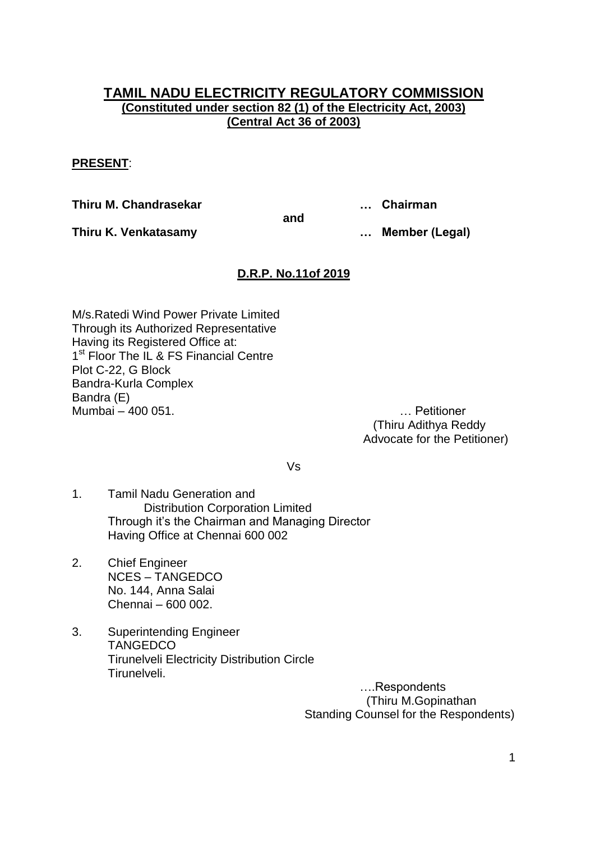## **TAMIL NADU ELECTRICITY REGULATORY COMMISSION (Constituted under section 82 (1) of the Electricity Act, 2003) (Central Act 36 of 2003)**

### **PRESENT**:

**Thiru M. Chandrasekar … Chairman**

**Thiru K. Venkatasamy … Member (Legal)**

## **D.R.P. No.11of 2019**

**and**

M/s.Ratedi Wind Power Private Limited Through its Authorized Representative Having its Registered Office at: 1<sup>st</sup> Floor The IL & FS Financial Centre Plot C-22, G Block Bandra-Kurla Complex Bandra (E) Mumbai – 400 051. … Petitioner

(Thiru Adithya Reddy Advocate for the Petitioner)

Vs

- 1. Tamil Nadu Generation and Distribution Corporation Limited Through it"s the Chairman and Managing Director Having Office at Chennai 600 002
- 2. Chief Engineer NCES – TANGEDCO No. 144, Anna Salai Chennai – 600 002.
- 3. Superintending Engineer **TANGEDCO** Tirunelveli Electricity Distribution Circle Tirunelveli.

….Respondents (Thiru M.Gopinathan Standing Counsel for the Respondents)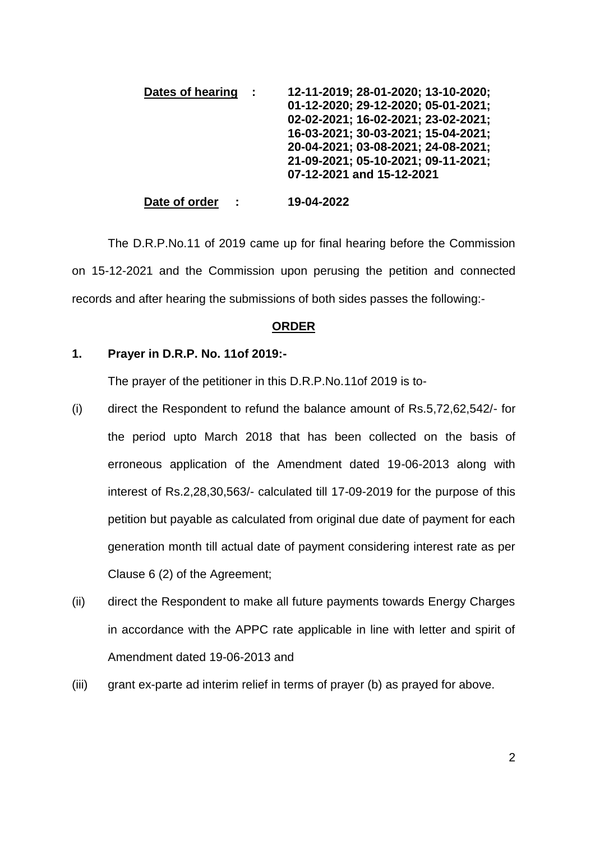| Dates of hearing | 12-11-2019; 28-01-2020; 13-10-2020; |
|------------------|-------------------------------------|
|                  | 01-12-2020; 29-12-2020; 05-01-2021; |
|                  | 02-02-2021; 16-02-2021; 23-02-2021; |
|                  | 16-03-2021; 30-03-2021; 15-04-2021; |
|                  | 20-04-2021; 03-08-2021; 24-08-2021; |
|                  | 21-09-2021; 05-10-2021; 09-11-2021; |
|                  | 07-12-2021 and 15-12-2021           |
|                  |                                     |

**Date of order : 19-04-2022**

The D.R.P.No.11 of 2019 came up for final hearing before the Commission on 15-12-2021 and the Commission upon perusing the petition and connected records and after hearing the submissions of both sides passes the following:-

#### **ORDER**

#### **1. Prayer in D.R.P. No. 11of 2019:-**

The prayer of the petitioner in this D.R.P.No.11of 2019 is to-

- (i) direct the Respondent to refund the balance amount of Rs.5,72,62,542/- for the period upto March 2018 that has been collected on the basis of erroneous application of the Amendment dated 19-06-2013 along with interest of Rs.2,28,30,563/- calculated till 17-09-2019 for the purpose of this petition but payable as calculated from original due date of payment for each generation month till actual date of payment considering interest rate as per Clause 6 (2) of the Agreement;
- (ii) direct the Respondent to make all future payments towards Energy Charges in accordance with the APPC rate applicable in line with letter and spirit of Amendment dated 19-06-2013 and
- (iii) grant ex-parte ad interim relief in terms of prayer (b) as prayed for above.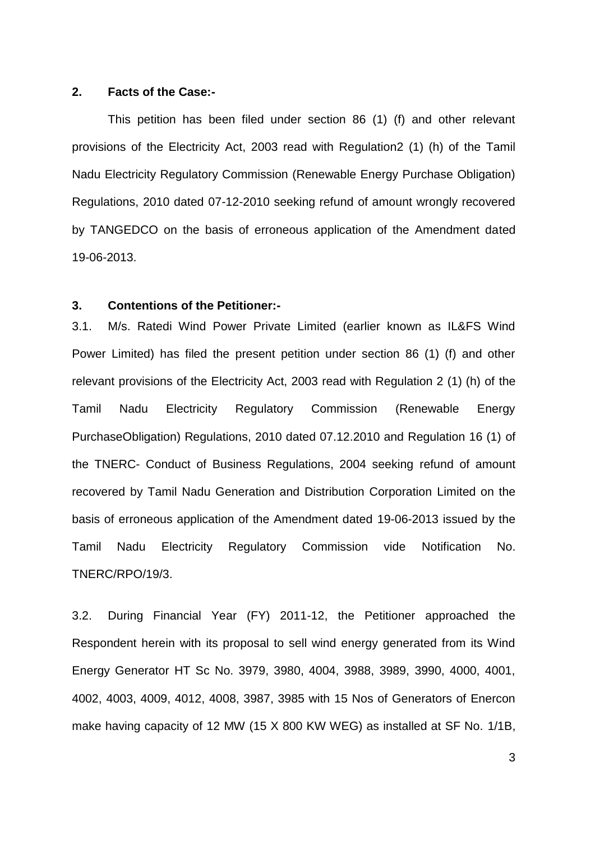#### **2. Facts of the Case:-**

This petition has been filed under section 86 (1) (f) and other relevant provisions of the Electricity Act, 2003 read with Regulation2 (1) (h) of the Tamil Nadu Electricity Regulatory Commission (Renewable Energy Purchase Obligation) Regulations, 2010 dated 07-12-2010 seeking refund of amount wrongly recovered by TANGEDCO on the basis of erroneous application of the Amendment dated 19-06-2013.

#### **3. Contentions of the Petitioner:-**

3.1. M/s. Ratedi Wind Power Private Limited (earlier known as IL&FS Wind Power Limited) has filed the present petition under section 86 (1) (f) and other relevant provisions of the Electricity Act, 2003 read with Regulation 2 (1) (h) of the Tamil Nadu Electricity Regulatory Commission (Renewable Energy PurchaseObligation) Regulations, 2010 dated 07.12.2010 and Regulation 16 (1) of the TNERC- Conduct of Business Regulations, 2004 seeking refund of amount recovered by Tamil Nadu Generation and Distribution Corporation Limited on the basis of erroneous application of the Amendment dated 19-06-2013 issued by the Tamil Nadu Electricity Regulatory Commission vide Notification No. TNERC/RPO/19/3.

3.2. During Financial Year (FY) 2011-12, the Petitioner approached the Respondent herein with its proposal to sell wind energy generated from its Wind Energy Generator HT Sc No. 3979, 3980, 4004, 3988, 3989, 3990, 4000, 4001, 4002, 4003, 4009, 4012, 4008, 3987, 3985 with 15 Nos of Generators of Enercon make having capacity of 12 MW (15 X 800 KW WEG) as installed at SF No. 1/1B,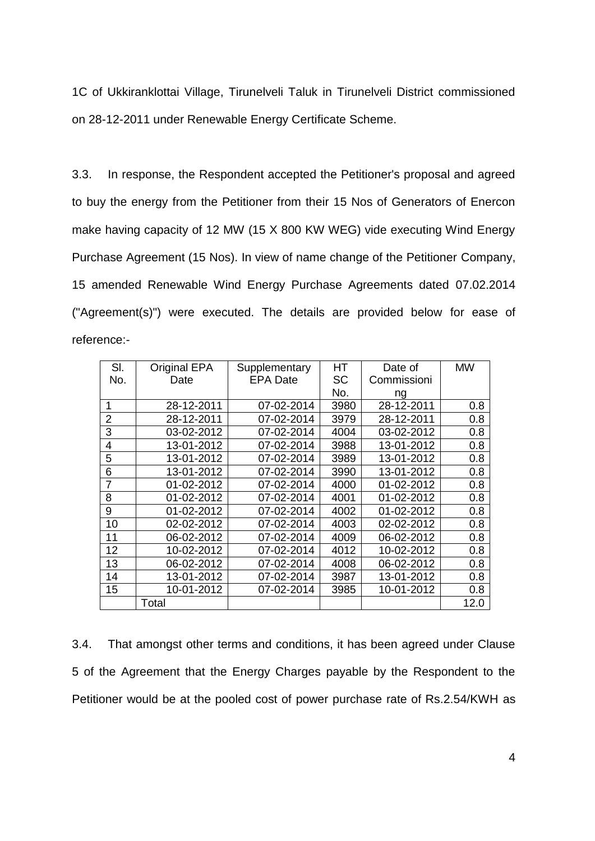1C of Ukkiranklottai Village, Tirunelveli Taluk in Tirunelveli District commissioned on 28-12-2011 under Renewable Energy Certificate Scheme.

3.3. In response, the Respondent accepted the Petitioner's proposal and agreed to buy the energy from the Petitioner from their 15 Nos of Generators of Enercon make having capacity of 12 MW (15 X 800 KW WEG) vide executing Wind Energy Purchase Agreement (15 Nos). In view of name change of the Petitioner Company, 15 amended Renewable Wind Energy Purchase Agreements dated 07.02.2014 ("Agreement(s)") were executed. The details are provided below for ease of reference:-

| SI.            | <b>Original EPA</b> | Supplementary   | <b>HT</b> | Date of     | <b>MW</b> |
|----------------|---------------------|-----------------|-----------|-------------|-----------|
| No.            | Date                | <b>EPA Date</b> | <b>SC</b> | Commissioni |           |
|                |                     |                 | No.       | ng          |           |
| 1              | 28-12-2011          | 07-02-2014      | 3980      | 28-12-2011  | 0.8       |
| $\overline{2}$ | 28-12-2011          | 07-02-2014      | 3979      | 28-12-2011  | 0.8       |
| 3              | 03-02-2012          | 07-02-2014      | 4004      | 03-02-2012  | 0.8       |
| $\overline{4}$ | 13-01-2012          | 07-02-2014      | 3988      | 13-01-2012  | 0.8       |
| 5              | 13-01-2012          | 07-02-2014      | 3989      | 13-01-2012  | 0.8       |
| 6              | 13-01-2012          | 07-02-2014      | 3990      | 13-01-2012  | 0.8       |
| 7              | 01-02-2012          | 07-02-2014      | 4000      | 01-02-2012  | 0.8       |
| 8              | 01-02-2012          | 07-02-2014      | 4001      | 01-02-2012  | 0.8       |
| 9              | 01-02-2012          | 07-02-2014      | 4002      | 01-02-2012  | 0.8       |
| 10             | 02-02-2012          | 07-02-2014      | 4003      | 02-02-2012  | 0.8       |
| 11             | 06-02-2012          | 07-02-2014      | 4009      | 06-02-2012  | 0.8       |
| 12             | 10-02-2012          | 07-02-2014      | 4012      | 10-02-2012  | 0.8       |
| 13             | 06-02-2012          | 07-02-2014      | 4008      | 06-02-2012  | 0.8       |
| 14             | 13-01-2012          | 07-02-2014      | 3987      | 13-01-2012  | 0.8       |
| 15             | 10-01-2012          | 07-02-2014      | 3985      | 10-01-2012  | 0.8       |
|                | Total               |                 |           |             | 12.0      |

3.4. That amongst other terms and conditions, it has been agreed under Clause 5 of the Agreement that the Energy Charges payable by the Respondent to the Petitioner would be at the pooled cost of power purchase rate of Rs.2.54/KWH as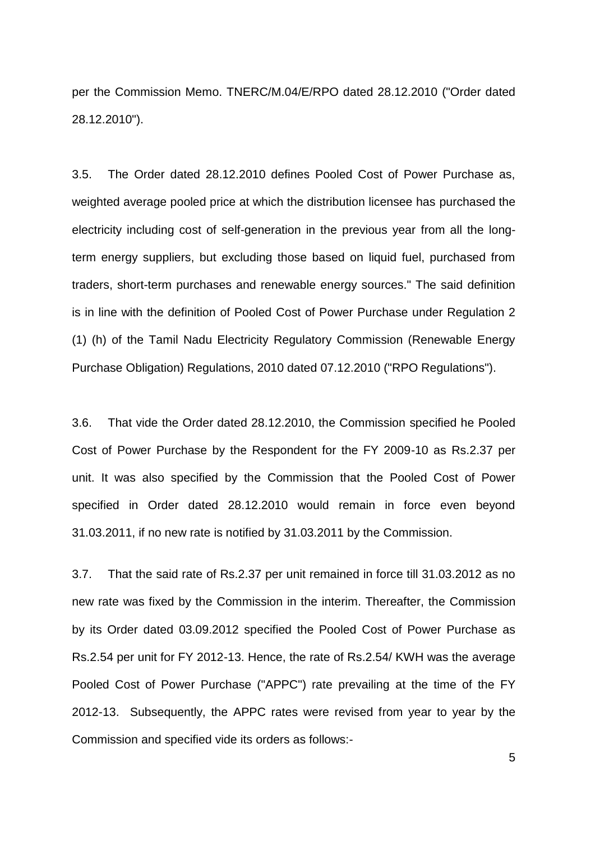per the Commission Memo. TNERC/M.04/E/RPO dated 28.12.2010 ("Order dated 28.12.2010").

3.5. The Order dated 28.12.2010 defines Pooled Cost of Power Purchase as, weighted average pooled price at which the distribution licensee has purchased the electricity including cost of self-generation in the previous year from all the longterm energy suppliers, but excluding those based on liquid fuel, purchased from traders, short-term purchases and renewable energy sources." The said definition is in line with the definition of Pooled Cost of Power Purchase under Regulation 2 (1) (h) of the Tamil Nadu Electricity Regulatory Commission (Renewable Energy Purchase Obligation) Regulations, 2010 dated 07.12.2010 ("RPO Regulations").

3.6. That vide the Order dated 28.12.2010, the Commission specified he Pooled Cost of Power Purchase by the Respondent for the FY 2009-10 as Rs.2.37 per unit. It was also specified by the Commission that the Pooled Cost of Power specified in Order dated 28.12.2010 would remain in force even beyond 31.03.2011, if no new rate is notified by 31.03.2011 by the Commission.

3.7. That the said rate of Rs.2.37 per unit remained in force till 31.03.2012 as no new rate was fixed by the Commission in the interim. Thereafter, the Commission by its Order dated 03.09.2012 specified the Pooled Cost of Power Purchase as Rs.2.54 per unit for FY 2012-13. Hence, the rate of Rs.2.54/ KWH was the average Pooled Cost of Power Purchase ("APPC") rate prevailing at the time of the FY 2012-13. Subsequently, the APPC rates were revised from year to year by the Commission and specified vide its orders as follows:-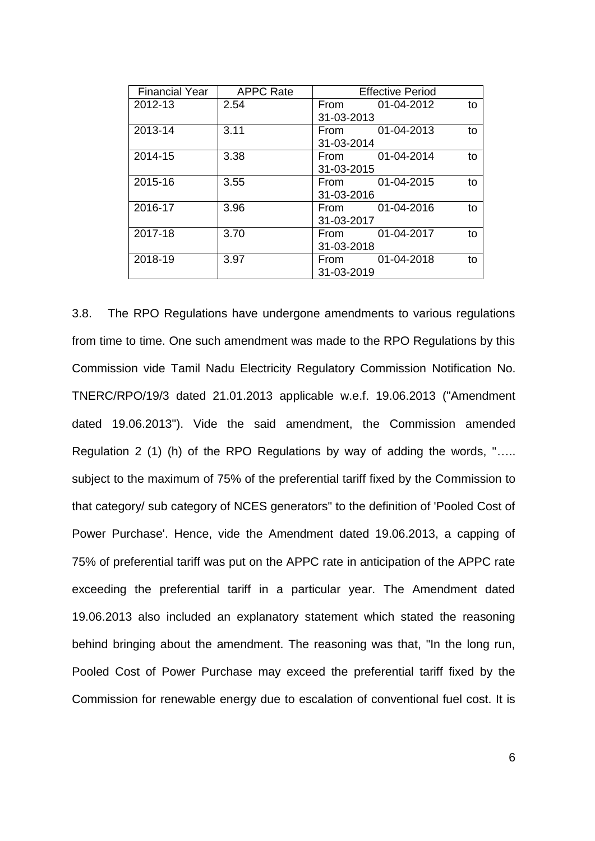| <b>Financial Year</b> | <b>APPC Rate</b> | <b>Effective Period</b>  |
|-----------------------|------------------|--------------------------|
| 2012-13               | 2.54             | 01-04-2012<br>From<br>to |
|                       |                  | 31-03-2013               |
| 2013-14               | 3.11             | 01-04-2013<br>to<br>From |
|                       |                  | 31-03-2014               |
| 2014-15               | 3.38             | 01-04-2014<br>to<br>From |
|                       |                  | 31-03-2015               |
| 2015-16               | 3.55             | 01-04-2015<br>to<br>From |
|                       |                  | 31-03-2016               |
| 2016-17               | 3.96             | 01-04-2016<br>to<br>From |
|                       |                  | 31-03-2017               |
| 2017-18               | 3.70             | 01-04-2017<br>to<br>From |
|                       |                  | 31-03-2018               |
| 2018-19               | 3.97             | 01-04-2018<br>to<br>From |
|                       |                  | 31-03-2019               |

3.8. The RPO Regulations have undergone amendments to various regulations from time to time. One such amendment was made to the RPO Regulations by this Commission vide Tamil Nadu Electricity Regulatory Commission Notification No. TNERC/RPO/19/3 dated 21.01.2013 applicable w.e.f. 19.06.2013 ("Amendment dated 19.06.2013"). Vide the said amendment, the Commission amended Regulation 2 (1) (h) of the RPO Regulations by way of adding the words, "….. subject to the maximum of 75% of the preferential tariff fixed by the Commission to that category/ sub category of NCES generators" to the definition of 'Pooled Cost of Power Purchase'. Hence, vide the Amendment dated 19.06.2013, a capping of 75% of preferential tariff was put on the APPC rate in anticipation of the APPC rate exceeding the preferential tariff in a particular year. The Amendment dated 19.06.2013 also included an explanatory statement which stated the reasoning behind bringing about the amendment. The reasoning was that, "In the long run, Pooled Cost of Power Purchase may exceed the preferential tariff fixed by the Commission for renewable energy due to escalation of conventional fuel cost. It is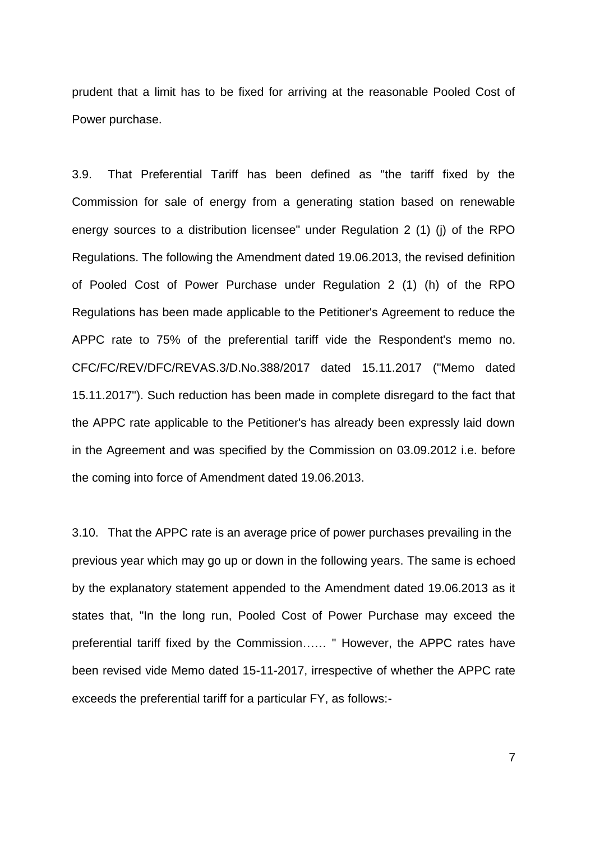prudent that a limit has to be fixed for arriving at the reasonable Pooled Cost of Power purchase.

3.9. That Preferential Tariff has been defined as "the tariff fixed by the Commission for sale of energy from a generating station based on renewable energy sources to a distribution licensee" under Regulation 2 (1) (j) of the RPO Regulations. The following the Amendment dated 19.06.2013, the revised definition of Pooled Cost of Power Purchase under Regulation 2 (1) (h) of the RPO Regulations has been made applicable to the Petitioner's Agreement to reduce the APPC rate to 75% of the preferential tariff vide the Respondent's memo no. CFC/FC/REV/DFC/REVAS.3/D.No.388/2017 dated 15.11.2017 ("Memo dated 15.11.2017"). Such reduction has been made in complete disregard to the fact that the APPC rate applicable to the Petitioner's has already been expressly laid down in the Agreement and was specified by the Commission on 03.09.2012 i.e. before the coming into force of Amendment dated 19.06.2013.

3.10. That the APPC rate is an average price of power purchases prevailing in the previous year which may go up or down in the following years. The same is echoed by the explanatory statement appended to the Amendment dated 19.06.2013 as it states that, "In the long run, Pooled Cost of Power Purchase may exceed the preferential tariff fixed by the Commission…… " However, the APPC rates have been revised vide Memo dated 15-11-2017, irrespective of whether the APPC rate exceeds the preferential tariff for a particular FY, as follows:-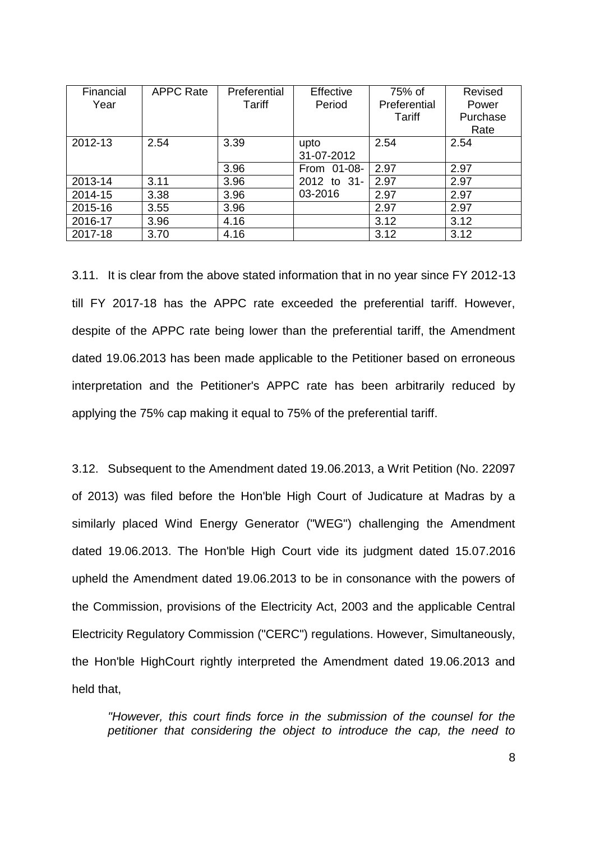| Financial<br>Year | <b>APPC Rate</b> | Preferential<br>Tariff | Effective<br>Period | 75% of<br>Preferential | Revised<br>Power |
|-------------------|------------------|------------------------|---------------------|------------------------|------------------|
|                   |                  |                        |                     | <b>Tariff</b>          | Purchase         |
|                   |                  |                        |                     |                        | Rate             |
| 2012-13           | 2.54             | 3.39                   | upto                | 2.54                   | 2.54             |
|                   |                  |                        | 31-07-2012          |                        |                  |
|                   |                  | 3.96                   | From 01-08-         | 2.97                   | 2.97             |
| 2013-14           | 3.11             | 3.96                   | 2012 to 31-         | 2.97                   | 2.97             |
| 2014-15           | 3.38             | 3.96                   | 03-2016             | 2.97                   | 2.97             |
| 2015-16           | 3.55             | 3.96                   |                     | 2.97                   | 2.97             |
| 2016-17           | 3.96             | 4.16                   |                     | 3.12                   | 3.12             |
| 2017-18           | 3.70             | 4.16                   |                     | 3.12                   | 3.12             |

3.11. It is clear from the above stated information that in no year since FY 2012-13 till FY 2017-18 has the APPC rate exceeded the preferential tariff. However, despite of the APPC rate being lower than the preferential tariff, the Amendment dated 19.06.2013 has been made applicable to the Petitioner based on erroneous interpretation and the Petitioner's APPC rate has been arbitrarily reduced by applying the 75% cap making it equal to 75% of the preferential tariff.

3.12. Subsequent to the Amendment dated 19.06.2013, a Writ Petition (No. 22097 of 2013) was filed before the Hon'ble High Court of Judicature at Madras by a similarly placed Wind Energy Generator ("WEG") challenging the Amendment dated 19.06.2013. The Hon'ble High Court vide its judgment dated 15.07.2016 upheld the Amendment dated 19.06.2013 to be in consonance with the powers of the Commission, provisions of the Electricity Act, 2003 and the applicable Central Electricity Regulatory Commission ("CERC") regulations. However, Simultaneously, the Hon'ble HighCourt rightly interpreted the Amendment dated 19.06.2013 and held that,

*"However, this court finds force in the submission of the counsel for the petitioner that considering the object to introduce the cap, the need to*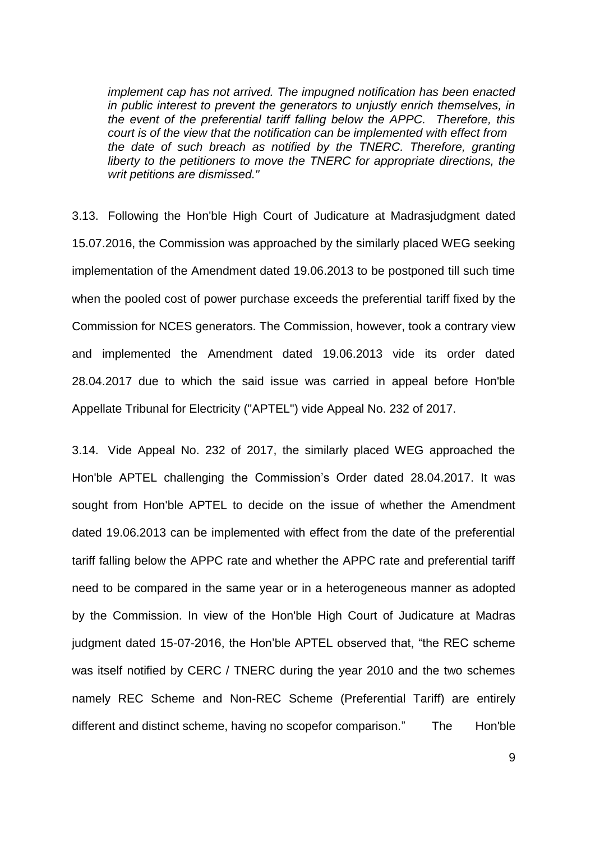*implement cap has not arrived. The impugned notification has been enacted in public interest to prevent the generators to unjustly enrich themselves, in the event of the preferential tariff falling below the APPC. Therefore, this court is of the view that the notification can be implemented with effect from the date of such breach as notified by the TNERC. Therefore, granting liberty to the petitioners to move the TNERC for appropriate directions, the writ petitions are dismissed."* 

3.13. Following the Hon'ble High Court of Judicature at Madrasjudgment dated 15.07.2016, the Commission was approached by the similarly placed WEG seeking implementation of the Amendment dated 19.06.2013 to be postponed till such time when the pooled cost of power purchase exceeds the preferential tariff fixed by the Commission for NCES generators. The Commission, however, took a contrary view and implemented the Amendment dated 19.06.2013 vide its order dated 28.04.2017 due to which the said issue was carried in appeal before Hon'ble Appellate Tribunal for Electricity ("APTEL") vide Appeal No. 232 of 2017.

3.14. Vide Appeal No. 232 of 2017, the similarly placed WEG approached the Hon'ble APTEL challenging the Commission"s Order dated 28.04.2017. It was sought from Hon'ble APTEL to decide on the issue of whether the Amendment dated 19.06.2013 can be implemented with effect from the date of the preferential tariff falling below the APPC rate and whether the APPC rate and preferential tariff need to be compared in the same year or in a heterogeneous manner as adopted by the Commission. In view of the Hon'ble High Court of Judicature at Madras judgment dated 15-07-2016, the Hon"ble APTEL observed that, "the REC scheme was itself notified by CERC / TNERC during the year 2010 and the two schemes namely REC Scheme and Non-REC Scheme (Preferential Tariff) are entirely different and distinct scheme, having no scopefor comparison." The Hon'ble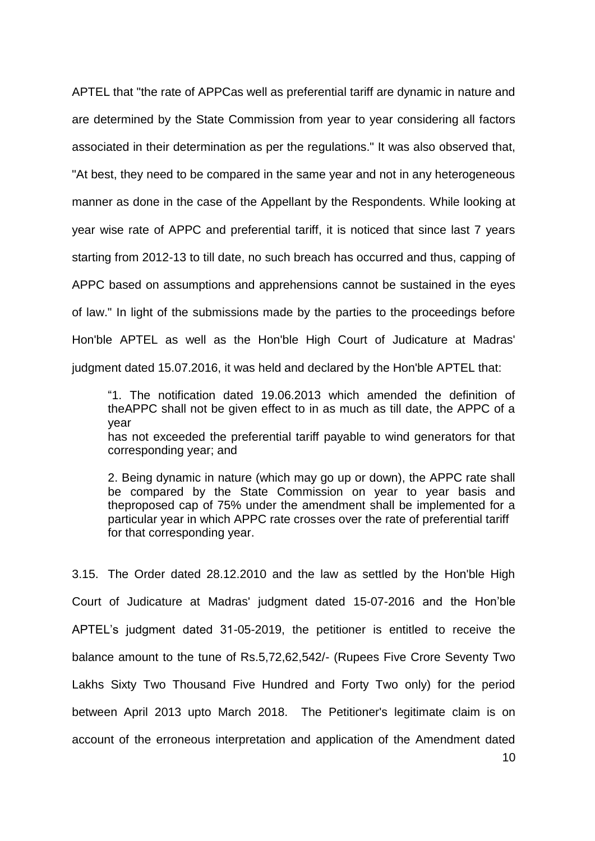APTEL that "the rate of APPCas well as preferential tariff are dynamic in nature and are determined by the State Commission from year to year considering all factors associated in their determination as per the regulations." It was also observed that, "At best, they need to be compared in the same year and not in any heterogeneous manner as done in the case of the Appellant by the Respondents. While looking at year wise rate of APPC and preferential tariff, it is noticed that since last 7 years starting from 2012-13 to till date, no such breach has occurred and thus, capping of APPC based on assumptions and apprehensions cannot be sustained in the eyes of law." In light of the submissions made by the parties to the proceedings before Hon'ble APTEL as well as the Hon'ble High Court of Judicature at Madras' judgment dated 15.07.2016, it was held and declared by the Hon'ble APTEL that:

"1. The notification dated 19.06.2013 which amended the definition of theAPPC shall not be given effect to in as much as till date, the APPC of a year has not exceeded the preferential tariff payable to wind generators for that corresponding year; and

2. Being dynamic in nature (which may go up or down), the APPC rate shall be compared by the State Commission on year to year basis and theproposed cap of 75% under the amendment shall be implemented for a particular year in which APPC rate crosses over the rate of preferential tariff for that corresponding year.

3.15. The Order dated 28.12.2010 and the law as settled by the Hon'ble High Court of Judicature at Madras' judgment dated 15-07-2016 and the Hon"ble APTEL"s judgment dated 31-05-2019, the petitioner is entitled to receive the balance amount to the tune of Rs.5,72,62,542/- (Rupees Five Crore Seventy Two Lakhs Sixty Two Thousand Five Hundred and Forty Two only) for the period between April 2013 upto March 2018. The Petitioner's legitimate claim is on account of the erroneous interpretation and application of the Amendment dated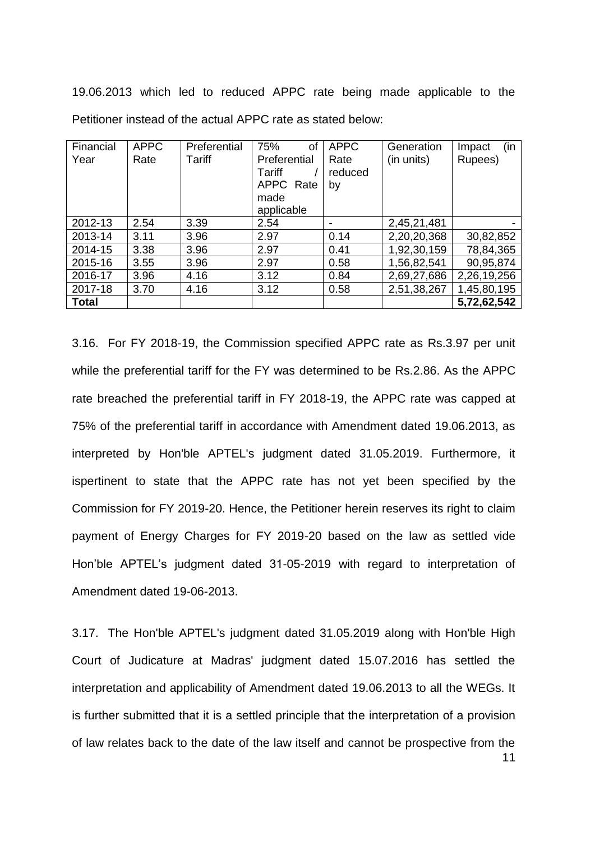19.06.2013 which led to reduced APPC rate being made applicable to the Petitioner instead of the actual APPC rate as stated below:

| Financial    | <b>APPC</b> | Preferential | 75%<br>of    | <b>APPC</b> | Generation  | (in<br>Impact |
|--------------|-------------|--------------|--------------|-------------|-------------|---------------|
| Year         | Rate        | Tariff       | Preferential | Rate        | (in units)  | Rupees)       |
|              |             |              | Tariff       | reduced     |             |               |
|              |             |              | APPC Rate    | by          |             |               |
|              |             |              | made         |             |             |               |
|              |             |              | applicable   |             |             |               |
| 2012-13      | 2.54        | 3.39         | 2.54         | -           | 2,45,21,481 |               |
| 2013-14      | 3.11        | 3.96         | 2.97         | 0.14        | 2,20,20,368 | 30,82,852     |
| 2014-15      | 3.38        | 3.96         | 2.97         | 0.41        | 1,92,30,159 | 78,84,365     |
| 2015-16      | 3.55        | 3.96         | 2.97         | 0.58        | 1,56,82,541 | 90,95,874     |
| 2016-17      | 3.96        | 4.16         | 3.12         | 0.84        | 2,69,27,686 | 2,26,19,256   |
| 2017-18      | 3.70        | 4.16         | 3.12         | 0.58        | 2,51,38,267 | 1,45,80,195   |
| <b>Total</b> |             |              |              |             |             | 5,72,62,542   |

3.16. For FY 2018-19, the Commission specified APPC rate as Rs.3.97 per unit while the preferential tariff for the FY was determined to be Rs.2.86. As the APPC rate breached the preferential tariff in FY 2018-19, the APPC rate was capped at 75% of the preferential tariff in accordance with Amendment dated 19.06.2013, as interpreted by Hon'ble APTEL's judgment dated 31.05.2019. Furthermore, it ispertinent to state that the APPC rate has not yet been specified by the Commission for FY 2019-20. Hence, the Petitioner herein reserves its right to claim payment of Energy Charges for FY 2019-20 based on the law as settled vide Hon"ble APTEL"s judgment dated 31-05-2019 with regard to interpretation of Amendment dated 19-06-2013.

11 3.17. The Hon'ble APTEL's judgment dated 31.05.2019 along with Hon'ble High Court of Judicature at Madras' judgment dated 15.07.2016 has settled the interpretation and applicability of Amendment dated 19.06.2013 to all the WEGs. It is further submitted that it is a settled principle that the interpretation of a provision of law relates back to the date of the law itself and cannot be prospective from the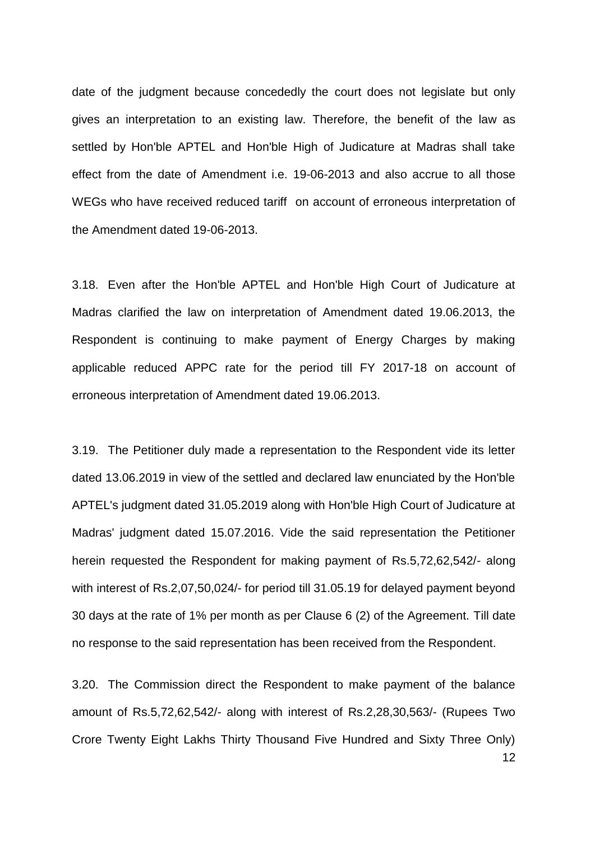date of the judgment because concededly the court does not legislate but only gives an interpretation to an existing law. Therefore, the benefit of the law as settled by Hon'ble APTEL and Hon'ble High of Judicature at Madras shall take effect from the date of Amendment i.e. 19-06-2013 and also accrue to all those WEGs who have received reduced tariff on account of erroneous interpretation of the Amendment dated 19-06-2013.

3.18. Even after the Hon'ble APTEL and Hon'ble High Court of Judicature at Madras clarified the law on interpretation of Amendment dated 19.06.2013, the Respondent is continuing to make payment of Energy Charges by making applicable reduced APPC rate for the period till FY 2017-18 on account of erroneous interpretation of Amendment dated 19.06.2013.

3.19. The Petitioner duly made a representation to the Respondent vide its letter dated 13.06.2019 in view of the settled and declared law enunciated by the Hon'ble APTEL's judgment dated 31.05.2019 along with Hon'ble High Court of Judicature at Madras' judgment dated 15.07.2016. Vide the said representation the Petitioner herein requested the Respondent for making payment of Rs.5,72,62,542/- along with interest of Rs.2,07,50,024/- for period till 31.05.19 for delayed payment beyond 30 days at the rate of 1% per month as per Clause 6 (2) of the Agreement. Till date no response to the said representation has been received from the Respondent.

12 3.20. The Commission direct the Respondent to make payment of the balance amount of Rs.5,72,62,542/- along with interest of Rs.2,28,30,563/- (Rupees Two Crore Twenty Eight Lakhs Thirty Thousand Five Hundred and Sixty Three Only)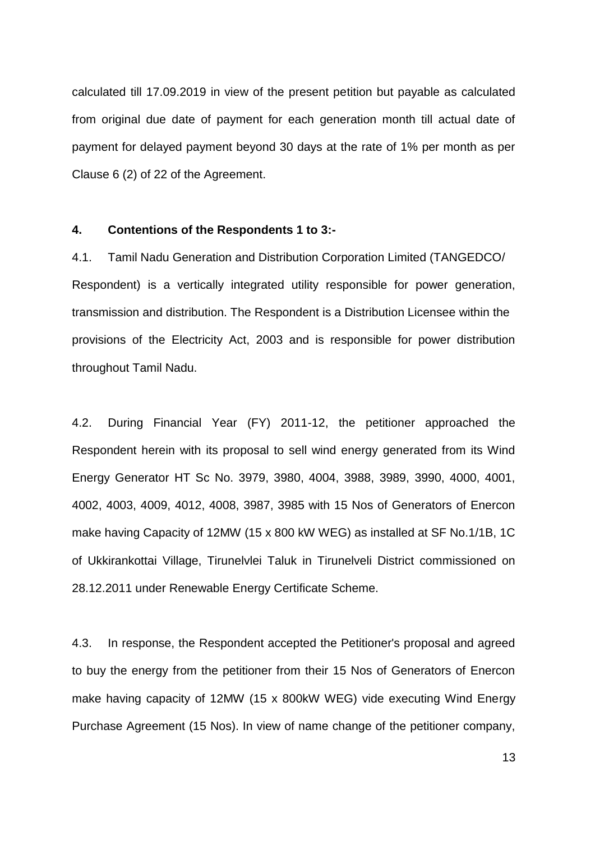calculated till 17.09.2019 in view of the present petition but payable as calculated from original due date of payment for each generation month till actual date of payment for delayed payment beyond 30 days at the rate of 1% per month as per Clause 6 (2) of 22 of the Agreement.

#### **4. Contentions of the Respondents 1 to 3:-**

4.1. Tamil Nadu Generation and Distribution Corporation Limited (TANGEDCO/ Respondent) is a vertically integrated utility responsible for power generation, transmission and distribution. The Respondent is a Distribution Licensee within the provisions of the Electricity Act, 2003 and is responsible for power distribution throughout Tamil Nadu.

4.2. During Financial Year (FY) 2011-12, the petitioner approached the Respondent herein with its proposal to sell wind energy generated from its Wind Energy Generator HT Sc No. 3979, 3980, 4004, 3988, 3989, 3990, 4000, 4001, 4002, 4003, 4009, 4012, 4008, 3987, 3985 with 15 Nos of Generators of Enercon make having Capacity of 12MW (15 x 800 kW WEG) as installed at SF No.1/1B, 1C of Ukkirankottai Village, Tirunelvlei Taluk in Tirunelveli District commissioned on 28.12.2011 under Renewable Energy Certificate Scheme.

4.3. In response, the Respondent accepted the Petitioner's proposal and agreed to buy the energy from the petitioner from their 15 Nos of Generators of Enercon make having capacity of 12MW (15 x 800kW WEG) vide executing Wind Energy Purchase Agreement (15 Nos). In view of name change of the petitioner company,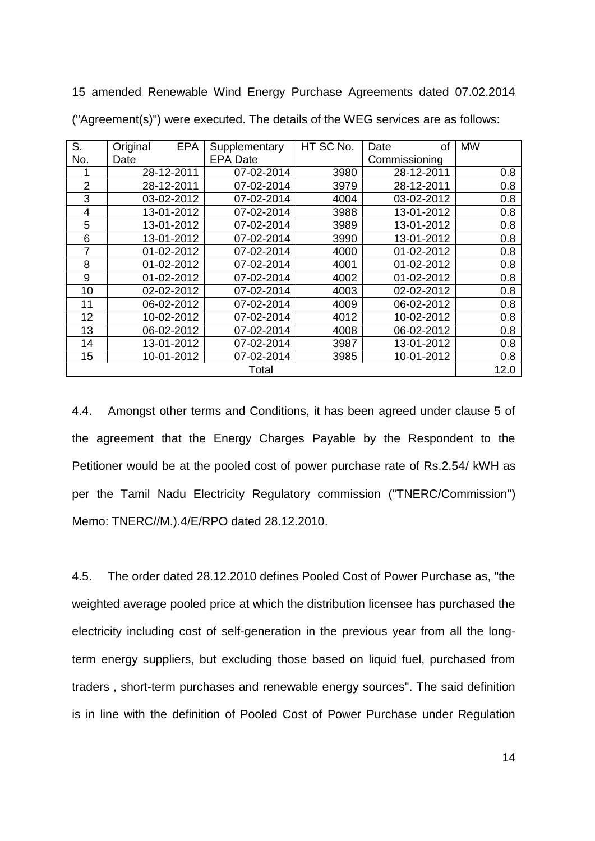15 amended Renewable Wind Energy Purchase Agreements dated 07.02.2014 ("Agreement(s)") were executed. The details of the WEG services are as follows:

| S.             | Original | <b>EPA</b> | Supplementary   | HT SC No. | Date<br>οf    | <b>MW</b> |
|----------------|----------|------------|-----------------|-----------|---------------|-----------|
| No.            | Date     |            | <b>EPA Date</b> |           | Commissioning |           |
|                |          | 28-12-2011 | 07-02-2014      | 3980      | 28-12-2011    | 0.8       |
| $\overline{2}$ |          | 28-12-2011 | 07-02-2014      | 3979      | 28-12-2011    | 0.8       |
| 3              |          | 03-02-2012 | 07-02-2014      | 4004      | 03-02-2012    | 0.8       |
| 4              |          | 13-01-2012 | 07-02-2014      | 3988      | 13-01-2012    | 0.8       |
| 5              |          | 13-01-2012 | 07-02-2014      | 3989      | 13-01-2012    | 0.8       |
| 6              |          | 13-01-2012 | 07-02-2014      | 3990      | 13-01-2012    | 0.8       |
| 7              |          | 01-02-2012 | 07-02-2014      | 4000      | 01-02-2012    | 0.8       |
| 8              |          | 01-02-2012 | 07-02-2014      | 4001      | 01-02-2012    | 0.8       |
| 9              |          | 01-02-2012 | 07-02-2014      | 4002      | 01-02-2012    | 0.8       |
| 10             |          | 02-02-2012 | 07-02-2014      | 4003      | 02-02-2012    | 0.8       |
| 11             |          | 06-02-2012 | 07-02-2014      | 4009      | 06-02-2012    | 0.8       |
| 12             |          | 10-02-2012 | 07-02-2014      | 4012      | 10-02-2012    | 0.8       |
| 13             |          | 06-02-2012 | 07-02-2014      | 4008      | 06-02-2012    | 0.8       |
| 14             |          | 13-01-2012 | 07-02-2014      | 3987      | 13-01-2012    | 0.8       |
| 15             |          | 10-01-2012 | 07-02-2014      | 3985      | 10-01-2012    | 0.8       |
|                |          |            | Total           |           |               | 12.0      |

4.4. Amongst other terms and Conditions, it has been agreed under clause 5 of the agreement that the Energy Charges Payable by the Respondent to the Petitioner would be at the pooled cost of power purchase rate of Rs.2.54/ kWH as per the Tamil Nadu Electricity Regulatory commission ("TNERC/Commission") Memo: TNERC//M.).4/E/RPO dated 28.12.2010.

4.5. The order dated 28.12.2010 defines Pooled Cost of Power Purchase as, "the weighted average pooled price at which the distribution licensee has purchased the electricity including cost of self-generation in the previous year from all the longterm energy suppliers, but excluding those based on liquid fuel, purchased from traders , short-term purchases and renewable energy sources". The said definition is in line with the definition of Pooled Cost of Power Purchase under Regulation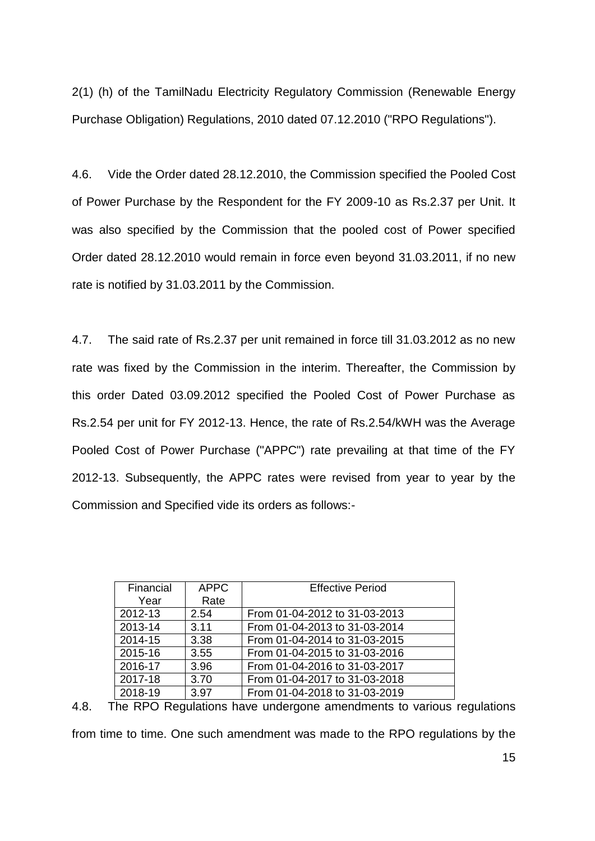2(1) (h) of the TamilNadu Electricity Regulatory Commission (Renewable Energy Purchase Obligation) Regulations, 2010 dated 07.12.2010 ("RPO Regulations").

4.6. Vide the Order dated 28.12.2010, the Commission specified the Pooled Cost of Power Purchase by the Respondent for the FY 2009-10 as Rs.2.37 per Unit. It was also specified by the Commission that the pooled cost of Power specified Order dated 28.12.2010 would remain in force even beyond 31.03.2011, if no new rate is notified by 31.03.2011 by the Commission.

4.7. The said rate of Rs.2.37 per unit remained in force till 31.03.2012 as no new rate was fixed by the Commission in the interim. Thereafter, the Commission by this order Dated 03.09.2012 specified the Pooled Cost of Power Purchase as Rs.2.54 per unit for FY 2012-13. Hence, the rate of Rs.2.54/kWH was the Average Pooled Cost of Power Purchase ("APPC") rate prevailing at that time of the FY 2012-13. Subsequently, the APPC rates were revised from year to year by the Commission and Specified vide its orders as follows:-

| Financial | <b>APPC</b> | <b>Effective Period</b>       |
|-----------|-------------|-------------------------------|
| Year      | Rate        |                               |
| 2012-13   | 2.54        | From 01-04-2012 to 31-03-2013 |
| 2013-14   | 3.11        | From 01-04-2013 to 31-03-2014 |
| 2014-15   | 3.38        | From 01-04-2014 to 31-03-2015 |
| 2015-16   | 3.55        | From 01-04-2015 to 31-03-2016 |
| 2016-17   | 3.96        | From 01-04-2016 to 31-03-2017 |
| 2017-18   | 3.70        | From 01-04-2017 to 31-03-2018 |
| 2018-19   | 3.97        | From 01-04-2018 to 31-03-2019 |

4.8. The RPO Regulations have undergone amendments to various regulations

from time to time. One such amendment was made to the RPO regulations by the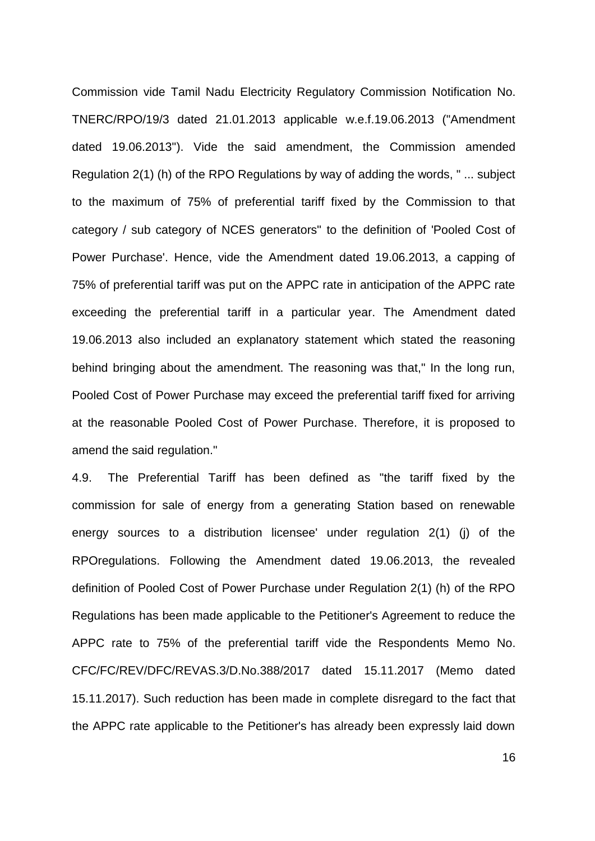Commission vide Tamil Nadu Electricity Regulatory Commission Notification No. TNERC/RPO/19/3 dated 21.01.2013 applicable w.e.f.19.06.2013 ("Amendment dated 19.06.2013"). Vide the said amendment, the Commission amended Regulation 2(1) (h) of the RPO Regulations by way of adding the words, " ... subject to the maximum of 75% of preferential tariff fixed by the Commission to that category / sub category of NCES generators" to the definition of 'Pooled Cost of Power Purchase'. Hence, vide the Amendment dated 19.06.2013, a capping of 75% of preferential tariff was put on the APPC rate in anticipation of the APPC rate exceeding the preferential tariff in a particular year. The Amendment dated 19.06.2013 also included an explanatory statement which stated the reasoning behind bringing about the amendment. The reasoning was that," In the long run, Pooled Cost of Power Purchase may exceed the preferential tariff fixed for arriving at the reasonable Pooled Cost of Power Purchase. Therefore, it is proposed to amend the said regulation."

4.9. The Preferential Tariff has been defined as "the tariff fixed by the commission for sale of energy from a generating Station based on renewable energy sources to a distribution licensee' under regulation 2(1) (j) of the RPOregulations. Following the Amendment dated 19.06.2013, the revealed definition of Pooled Cost of Power Purchase under Regulation 2(1) (h) of the RPO Regulations has been made applicable to the Petitioner's Agreement to reduce the APPC rate to 75% of the preferential tariff vide the Respondents Memo No. CFC/FC/REV/DFC/REVAS.3/D.No.388/2017 dated 15.11.2017 (Memo dated 15.11.2017). Such reduction has been made in complete disregard to the fact that the APPC rate applicable to the Petitioner's has already been expressly laid down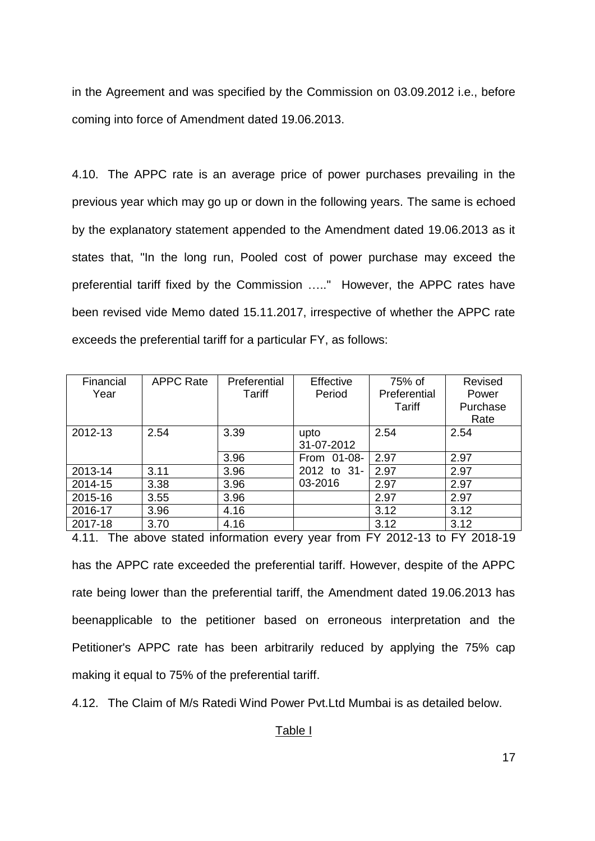in the Agreement and was specified by the Commission on 03.09.2012 i.e., before coming into force of Amendment dated 19.06.2013.

4.10. The APPC rate is an average price of power purchases prevailing in the previous year which may go up or down in the following years. The same is echoed by the explanatory statement appended to the Amendment dated 19.06.2013 as it states that, "In the long run, Pooled cost of power purchase may exceed the preferential tariff fixed by the Commission ….." However, the APPC rates have been revised vide Memo dated 15.11.2017, irrespective of whether the APPC rate exceeds the preferential tariff for a particular FY, as follows:

| Financial<br>Year | <b>APPC Rate</b> | Preferential<br>Tariff | Effective<br>Period | 75% of<br>Preferential<br>Tariff | Revised<br>Power<br>Purchase<br>Rate |
|-------------------|------------------|------------------------|---------------------|----------------------------------|--------------------------------------|
| 2012-13           | 2.54             | 3.39                   | upto<br>31-07-2012  | 2.54                             | 2.54                                 |
|                   |                  | 3.96                   | From 01-08-         | 2.97                             | 2.97                                 |
| 2013-14           | 3.11             | 3.96                   | 2012 to 31-         | 2.97                             | 2.97                                 |
| 2014-15           | 3.38             | 3.96                   | 03-2016             | 2.97                             | 2.97                                 |
| 2015-16           | 3.55             | 3.96                   |                     | 2.97                             | 2.97                                 |
| 2016-17           | 3.96             | 4.16                   |                     | 3.12                             | 3.12                                 |
| 2017-18           | 3.70             | 4.16                   |                     | 3.12                             | 3.12                                 |

4.11. The above stated information every year from FY 2012-13 to FY 2018-19 has the APPC rate exceeded the preferential tariff. However, despite of the APPC rate being lower than the preferential tariff, the Amendment dated 19.06.2013 has beenapplicable to the petitioner based on erroneous interpretation and the Petitioner's APPC rate has been arbitrarily reduced by applying the 75% cap making it equal to 75% of the preferential tariff.

4.12. The Claim of M/s Ratedi Wind Power Pvt.Ltd Mumbai is as detailed below.

#### Table I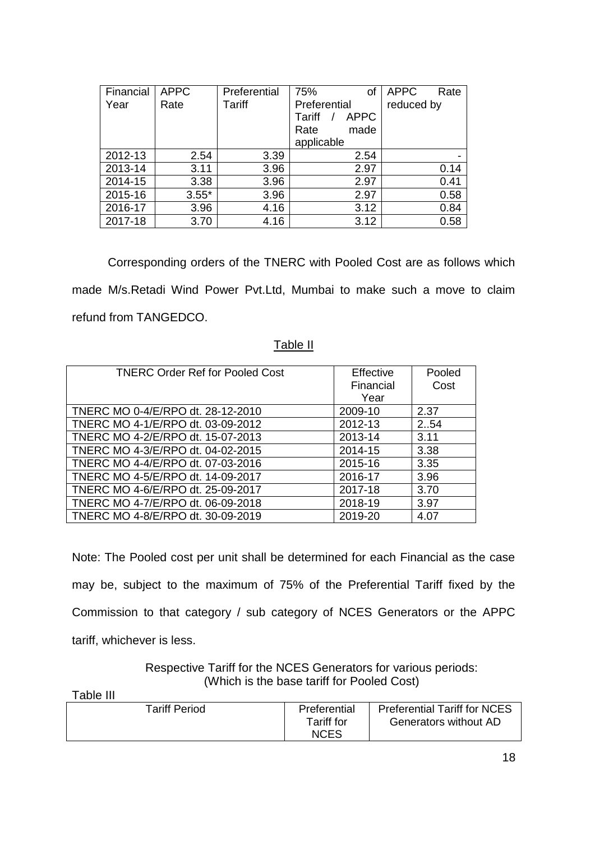| Financial | <b>APPC</b> | Preferential | 75%<br>οf             | <b>APPC</b><br>Rate |
|-----------|-------------|--------------|-----------------------|---------------------|
| Year      | Rate        | Tariff       | Preferential          | reduced by          |
|           |             |              | Tariff<br><b>APPC</b> |                     |
|           |             |              | Rate<br>made          |                     |
|           |             |              | applicable            |                     |
| 2012-13   | 2.54        | 3.39         | 2.54                  |                     |
| 2013-14   | 3.11        | 3.96         | 2.97                  | 0.14                |
| 2014-15   | 3.38        | 3.96         | 2.97                  | 0.41                |
| 2015-16   | $3.55*$     | 3.96         | 2.97                  | 0.58                |
| 2016-17   | 3.96        | 4.16         | 3.12                  | 0.84                |
| 2017-18   | 3.70        | 4.16         | 3.12                  | 0.58                |

Corresponding orders of the TNERC with Pooled Cost are as follows which made M/s.Retadi Wind Power Pvt.Ltd, Mumbai to make such a move to claim refund from TANGEDCO.

#### Table II

| <b>TNERC Order Ref for Pooled Cost</b> | Effective<br>Financial<br>Year | Pooled<br>Cost |
|----------------------------------------|--------------------------------|----------------|
| TNERC MO 0-4/E/RPO dt. 28-12-2010      | 2009-10                        | 2.37           |
| TNERC MO 4-1/E/RPO dt. 03-09-2012      | 2012-13                        | 2.54           |
| TNERC MO 4-2/E/RPO dt. 15-07-2013      | 2013-14                        | 3.11           |
| TNERC MO 4-3/E/RPO dt. 04-02-2015      | 2014-15                        | 3.38           |
| TNERC MO 4-4/E/RPO dt. 07-03-2016      | 2015-16                        | 3.35           |
| TNERC MO 4-5/E/RPO dt. 14-09-2017      | 2016-17                        | 3.96           |
| TNERC MO 4-6/E/RPO dt. 25-09-2017      | 2017-18                        | 3.70           |
| TNERC MO 4-7/E/RPO dt. 06-09-2018      | 2018-19                        | 3.97           |
| TNERC MO 4-8/E/RPO dt. 30-09-2019      | 2019-20                        | 4.07           |

Note: The Pooled cost per unit shall be determined for each Financial as the case may be, subject to the maximum of 75% of the Preferential Tariff fixed by the Commission to that category / sub category of NCES Generators or the APPC tariff, whichever is less.

> Respective Tariff for the NCES Generators for various periods: (Which is the base tariff for Pooled Cost)

Table III

| <b>Tariff Period</b> | Preferential | <b>Preferential Tariff for NCES</b> |
|----------------------|--------------|-------------------------------------|
|                      | Tariff for   | Generators without AD               |
|                      | <b>NCES</b>  |                                     |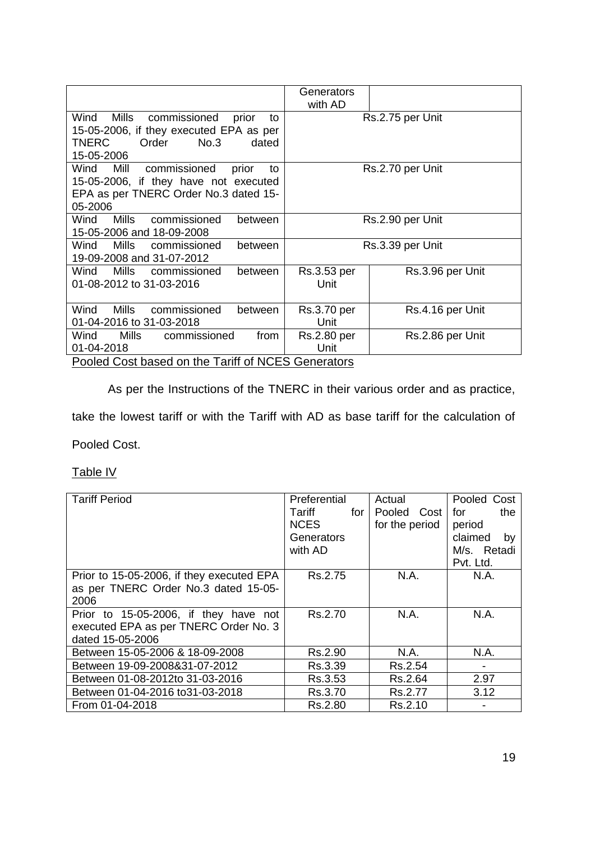|                                                                                                                                                 | Generators<br>with AD |                  |  |  |
|-------------------------------------------------------------------------------------------------------------------------------------------------|-----------------------|------------------|--|--|
| Mills<br>Wind<br>commissioned<br>prior<br>to<br>15-05-2006, if they executed EPA as per<br><b>TNERC</b><br>No.3<br>Order<br>dated<br>15-05-2006 | Rs.2.75 per Unit      |                  |  |  |
| commissioned<br>Wind<br>Mill<br>prior<br>to<br>15-05-2006, if they have not executed<br>EPA as per TNERC Order No.3 dated 15-<br>05-2006        |                       | Rs.2.70 per Unit |  |  |
| <b>Mills</b><br>Wind<br>commissioned<br>between<br>15-05-2006 and 18-09-2008                                                                    | Rs.2.90 per Unit      |                  |  |  |
| Wind<br>Mills<br>commissioned<br>between<br>19-09-2008 and 31-07-2012                                                                           |                       | Rs.3.39 per Unit |  |  |
| Mills<br>Wind<br>commissioned<br>between<br>01-08-2012 to 31-03-2016                                                                            | Rs.3.53 per<br>Unit   | Rs.3.96 per Unit |  |  |
| Mills<br>Wind<br>commissioned<br>between<br>01-04-2016 to 31-03-2018                                                                            | Rs.3.70 per<br>Unit   | Rs.4.16 per Unit |  |  |
| Mills<br>commissioned<br>Wind<br>from<br>01-04-2018                                                                                             | Rs.2.80 per<br>Unit   | Rs.2.86 per Unit |  |  |
| Pooled Cost based on the Tariff of NCES Generators                                                                                              |                       |                  |  |  |

As per the Instructions of the TNERC in their various order and as practice,

take the lowest tariff or with the Tariff with AD as base tariff for the calculation of

Pooled Cost.

Table IV

| <b>Tariff Period</b>                      | Preferential  | Actual         | Pooled Cost   |
|-------------------------------------------|---------------|----------------|---------------|
|                                           | Tariff<br>for | Pooled Cost    | the<br>for    |
|                                           | <b>NCES</b>   | for the period | period        |
|                                           | Generators    |                | claimed<br>by |
|                                           | with AD       |                | M/s. Retadi   |
|                                           |               |                | Pvt. Ltd.     |
| Prior to 15-05-2006, if they executed EPA | Rs.2.75       | N.A.           | N.A.          |
| as per TNERC Order No.3 dated 15-05-      |               |                |               |
| 2006                                      |               |                |               |
| Prior to 15-05-2006, if they have not     | Rs.2.70       | N.A.           | N.A.          |
| executed EPA as per TNERC Order No. 3     |               |                |               |
| dated 15-05-2006                          |               |                |               |
| Between 15-05-2006 & 18-09-2008           | Rs.2.90       | N.A.           | N.A.          |
| Between 19-09-2008&31-07-2012             | Rs.3.39       | Rs.2.54        |               |
| Between 01-08-2012to 31-03-2016           | Rs.3.53       | Rs.2.64        | 2.97          |
| Between 01-04-2016 to 31-03-2018          | Rs.3.70       | Rs.2.77        | 3.12          |
| From 01-04-2018                           | Rs.2.80       | Rs.2.10        |               |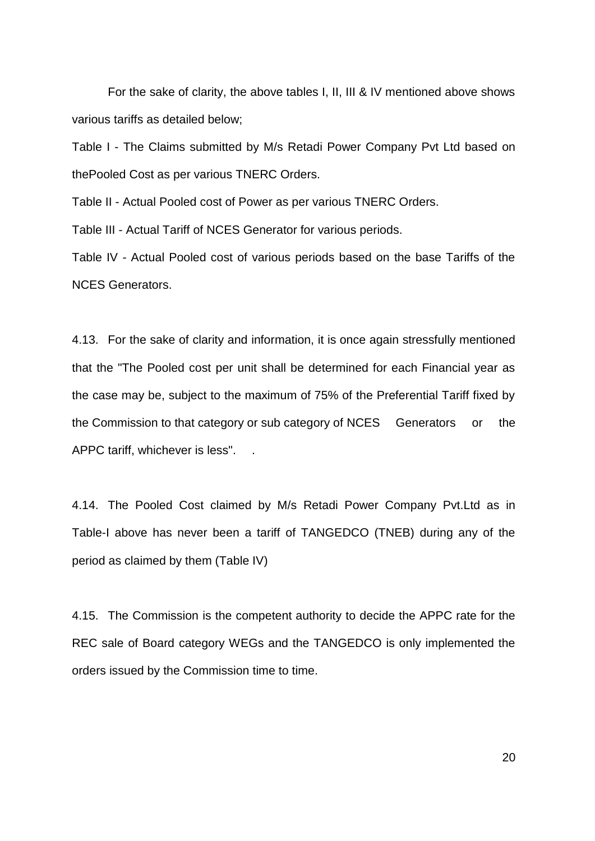For the sake of clarity, the above tables I, II, III & IV mentioned above shows various tariffs as detailed below;

Table I - The Claims submitted by M/s Retadi Power Company Pvt Ltd based on thePooled Cost as per various TNERC Orders.

Table II - Actual Pooled cost of Power as per various TNERC Orders.

Table III - Actual Tariff of NCES Generator for various periods.

Table IV - Actual Pooled cost of various periods based on the base Tariffs of the NCES Generators.

4.13. For the sake of clarity and information, it is once again stressfully mentioned that the "The Pooled cost per unit shall be determined for each Financial year as the case may be, subject to the maximum of 75% of the Preferential Tariff fixed by the Commission to that category or sub category of NCES Generators or the APPC tariff, whichever is less". .

4.14. The Pooled Cost claimed by M/s Retadi Power Company Pvt.Ltd as in Table-I above has never been a tariff of TANGEDCO (TNEB) during any of the period as claimed by them (Table IV)

4.15. The Commission is the competent authority to decide the APPC rate for the REC sale of Board category WEGs and the TANGEDCO is only implemented the orders issued by the Commission time to time.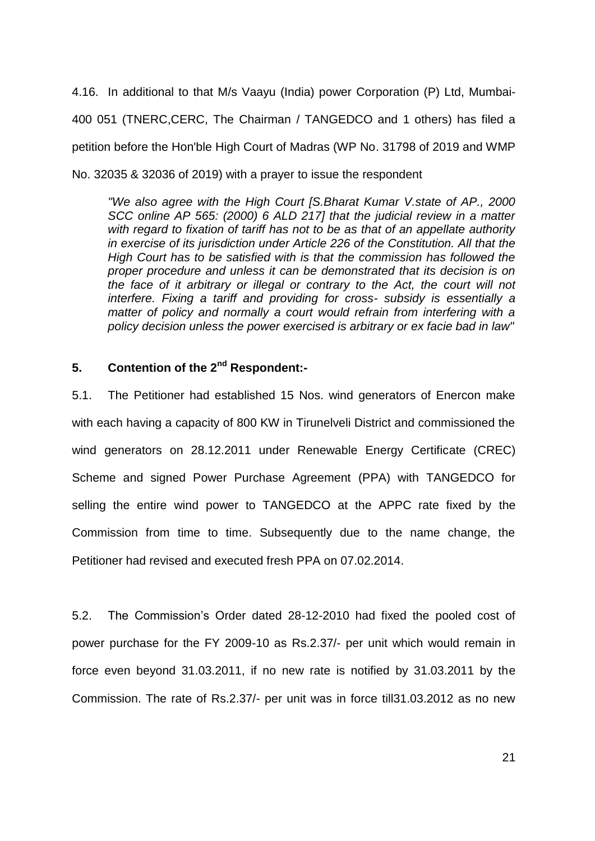4.16. In additional to that M/s Vaayu (India) power Corporation (P) Ltd, Mumbai-400 051 (TNERC,CERC, The Chairman / TANGEDCO and 1 others) has filed a petition before the Hon'ble High Court of Madras (WP No. 31798 of 2019 and WMP No. 32035 & 32036 of 2019) with a prayer to issue the respondent

*"We also agree with the High Court [S.Bharat Kumar V.state of AP., 2000 SCC online AP 565: (2000) 6 ALD 217] that the judicial review in a matter with regard to fixation of tariff has not to be as that of an appellate authority in exercise of its jurisdiction under Article 226 of the Constitution. All that the High Court has to be satisfied with is that the commission has followed the proper procedure and unless it can be demonstrated that its decision is on the face of it arbitrary or illegal or contrary to the Act, the court will not interfere. Fixing a tariff and providing for cross- subsidy is essentially a matter of policy and normally a court would refrain from interfering with a policy decision unless the power exercised is arbitrary or ex facie bad in law"* 

## **5. Contention of the 2nd Respondent:-**

5.1. The Petitioner had established 15 Nos. wind generators of Enercon make with each having a capacity of 800 KW in Tirunelveli District and commissioned the wind generators on 28.12.2011 under Renewable Energy Certificate (CREC) Scheme and signed Power Purchase Agreement (PPA) with TANGEDCO for selling the entire wind power to TANGEDCO at the APPC rate fixed by the Commission from time to time. Subsequently due to the name change, the Petitioner had revised and executed fresh PPA on 07.02.2014.

5.2. The Commission"s Order dated 28-12-2010 had fixed the pooled cost of power purchase for the FY 2009-10 as Rs.2.37/- per unit which would remain in force even beyond 31.03.2011, if no new rate is notified by 31.03.2011 by the Commission. The rate of Rs.2.37/- per unit was in force till31.03.2012 as no new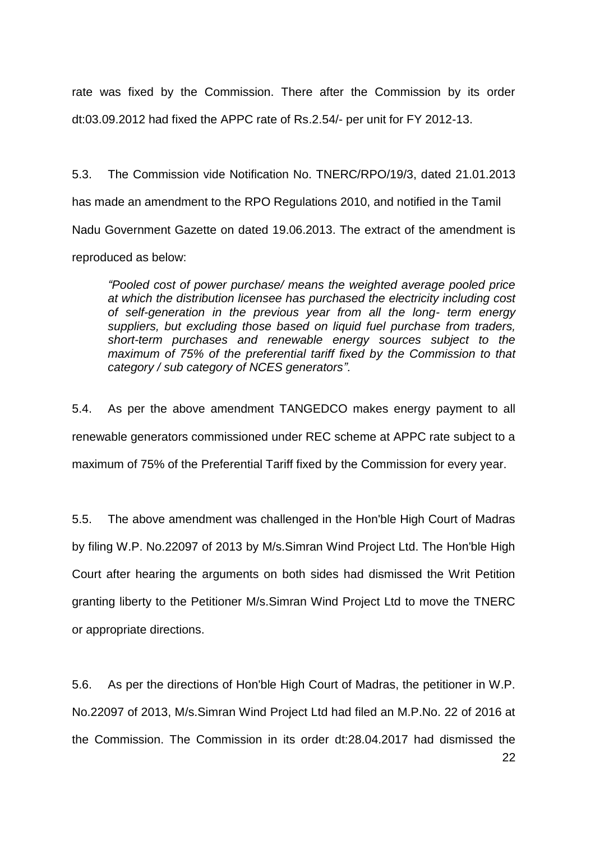rate was fixed by the Commission. There after the Commission by its order dt:03.09.2012 had fixed the APPC rate of Rs.2.54/- per unit for FY 2012-13.

5.3. The Commission vide Notification No. TNERC/RPO/19/3, dated 21.01.2013 has made an amendment to the RPO Regulations 2010, and notified in the Tamil Nadu Government Gazette on dated 19.06.2013. The extract of the amendment is reproduced as below:

*"Pooled cost of power purchase/ means the weighted average pooled price at which the distribution licensee has purchased the electricity including cost of self-generation in the previous year from all the long- term energy suppliers, but excluding those based on liquid fuel purchase from traders, short-term purchases and renewable energy sources subject to the maximum of 75% of the preferential tariff fixed by the Commission to that category / sub category of NCES generators".*

5.4. As per the above amendment TANGEDCO makes energy payment to all renewable generators commissioned under REC scheme at APPC rate subject to a maximum of 75% of the Preferential Tariff fixed by the Commission for every year.

5.5. The above amendment was challenged in the Hon'ble High Court of Madras by filing W.P. No.22097 of 2013 by M/s.Simran Wind Project Ltd. The Hon'ble High Court after hearing the arguments on both sides had dismissed the Writ Petition granting liberty to the Petitioner M/s.Simran Wind Project Ltd to move the TNERC or appropriate directions.

5.6. As per the directions of Hon'ble High Court of Madras, the petitioner in W.P. No.22097 of 2013, M/s.Simran Wind Project Ltd had filed an M.P.No. 22 of 2016 at the Commission. The Commission in its order dt:28.04.2017 had dismissed the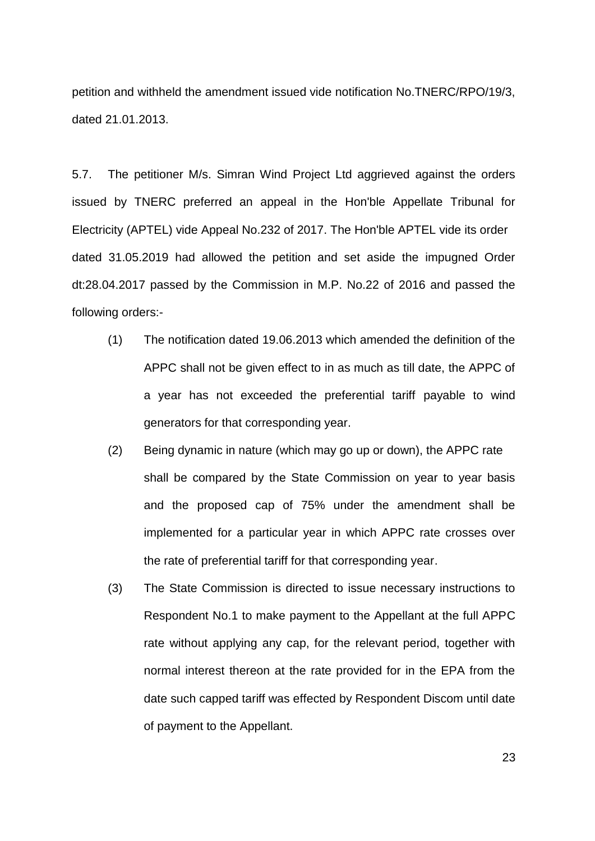petition and withheld the amendment issued vide notification No.TNERC/RPO/19/3, dated 21.01.2013.

5.7. The petitioner M/s. Simran Wind Project Ltd aggrieved against the orders issued by TNERC preferred an appeal in the Hon'ble Appellate Tribunal for Electricity (APTEL) vide Appeal No.232 of 2017. The Hon'ble APTEL vide its order dated 31.05.2019 had allowed the petition and set aside the impugned Order dt:28.04.2017 passed by the Commission in M.P. No.22 of 2016 and passed the following orders:-

- (1) The notification dated 19.06.2013 which amended the definition of the APPC shall not be given effect to in as much as till date, the APPC of a year has not exceeded the preferential tariff payable to wind generators for that corresponding year.
- (2) Being dynamic in nature (which may go up or down), the APPC rate shall be compared by the State Commission on year to year basis and the proposed cap of 75% under the amendment shall be implemented for a particular year in which APPC rate crosses over the rate of preferential tariff for that corresponding year.
- (3) The State Commission is directed to issue necessary instructions to Respondent No.1 to make payment to the Appellant at the full APPC rate without applying any cap, for the relevant period, together with normal interest thereon at the rate provided for in the EPA from the date such capped tariff was effected by Respondent Discom until date of payment to the Appellant.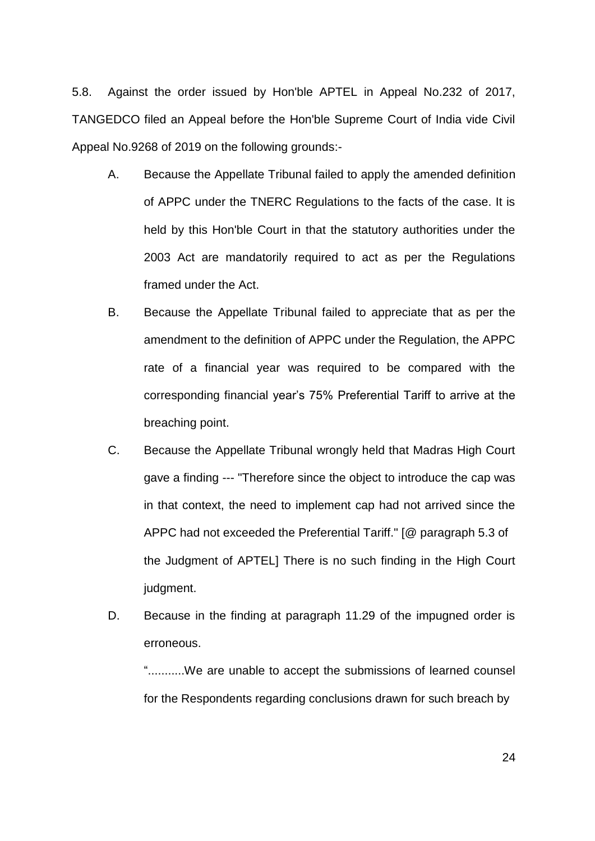5.8. Against the order issued by Hon'ble APTEL in Appeal No.232 of 2017, TANGEDCO filed an Appeal before the Hon'ble Supreme Court of India vide Civil Appeal No.9268 of 2019 on the following grounds:-

- A. Because the Appellate Tribunal failed to apply the amended definition of APPC under the TNERC Regulations to the facts of the case. It is held by this Hon'ble Court in that the statutory authorities under the 2003 Act are mandatorily required to act as per the Regulations framed under the Act.
- B. Because the Appellate Tribunal failed to appreciate that as per the amendment to the definition of APPC under the Regulation, the APPC rate of a financial year was required to be compared with the corresponding financial year"s 75% Preferential Tariff to arrive at the breaching point.
- C. Because the Appellate Tribunal wrongly held that Madras High Court gave a finding --- "Therefore since the object to introduce the cap was in that context, the need to implement cap had not arrived since the APPC had not exceeded the Preferential Tariff." [@ paragraph 5.3 of the Judgment of APTEL] There is no such finding in the High Court judgment.
- D. Because in the finding at paragraph 11.29 of the impugned order is erroneous.

"...........We are unable to accept the submissions of learned counsel for the Respondents regarding conclusions drawn for such breach by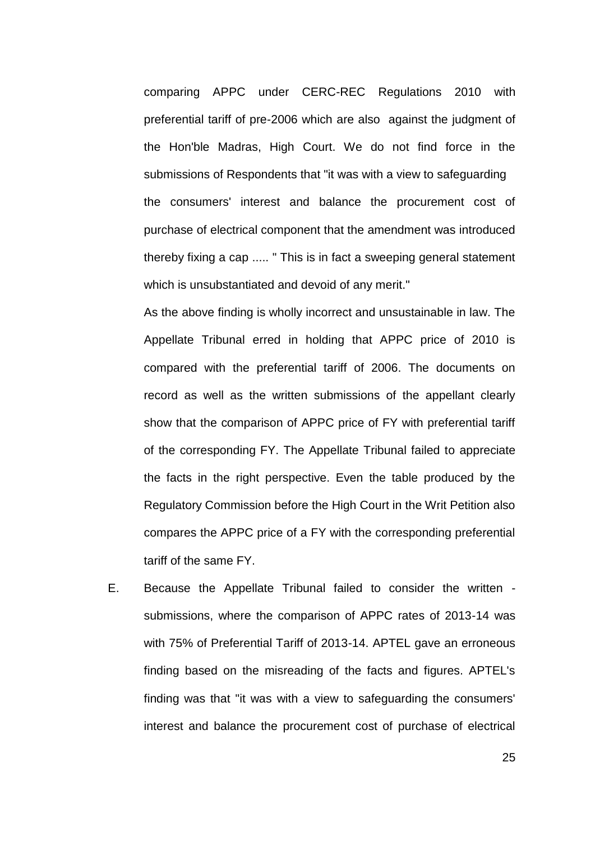comparing APPC under CERC-REC Regulations 2010 with preferential tariff of pre-2006 which are also against the judgment of the Hon'ble Madras, High Court. We do not find force in the submissions of Respondents that "it was with a view to safeguarding the consumers' interest and balance the procurement cost of purchase of electrical component that the amendment was introduced thereby fixing a cap ..... " This is in fact a sweeping general statement which is unsubstantiated and devoid of any merit."

As the above finding is wholly incorrect and unsustainable in law. The Appellate Tribunal erred in holding that APPC price of 2010 is compared with the preferential tariff of 2006. The documents on record as well as the written submissions of the appellant clearly show that the comparison of APPC price of FY with preferential tariff of the corresponding FY. The Appellate Tribunal failed to appreciate the facts in the right perspective. Even the table produced by the Regulatory Commission before the High Court in the Writ Petition also compares the APPC price of a FY with the corresponding preferential tariff of the same FY.

E. Because the Appellate Tribunal failed to consider the written submissions, where the comparison of APPC rates of 2013-14 was with 75% of Preferential Tariff of 2013-14. APTEL gave an erroneous finding based on the misreading of the facts and figures. APTEL's finding was that "it was with a view to safeguarding the consumers' interest and balance the procurement cost of purchase of electrical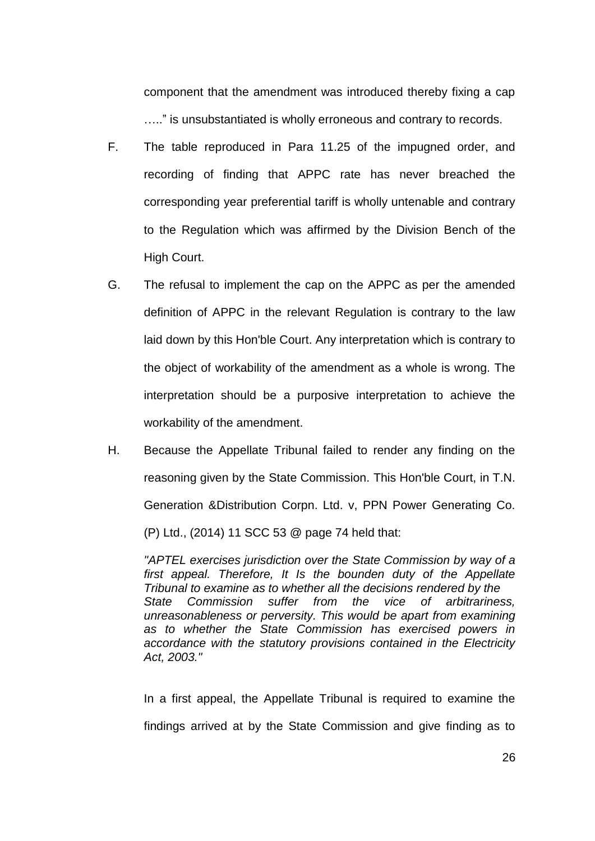component that the amendment was introduced thereby fixing a cap ….." is unsubstantiated is wholly erroneous and contrary to records.

- F. The table reproduced in Para 11.25 of the impugned order, and recording of finding that APPC rate has never breached the corresponding year preferential tariff is wholly untenable and contrary to the Regulation which was affirmed by the Division Bench of the High Court.
- G. The refusal to implement the cap on the APPC as per the amended definition of APPC in the relevant Regulation is contrary to the law laid down by this Hon'ble Court. Any interpretation which is contrary to the object of workability of the amendment as a whole is wrong. The interpretation should be a purposive interpretation to achieve the workability of the amendment.
- H. Because the Appellate Tribunal failed to render any finding on the reasoning given by the State Commission. This Hon'ble Court, in T.N. Generation &Distribution Corpn. Ltd. v, PPN Power Generating Co. (P) Ltd., (2014) 11 SCC 53 @ page 74 held that:

*"APTEL exercises jurisdiction over the State Commission by way of a first appeal. Therefore, It Is the bounden duty of the Appellate Tribunal to examine as to whether all the decisions rendered by the State Commission suffer from the vice of arbitrariness, unreasonableness or perversity. This would be apart from examining as to whether the State Commission has exercised powers in accordance with the statutory provisions contained in the Electricity Act, 2003."* 

In a first appeal, the Appellate Tribunal is required to examine the findings arrived at by the State Commission and give finding as to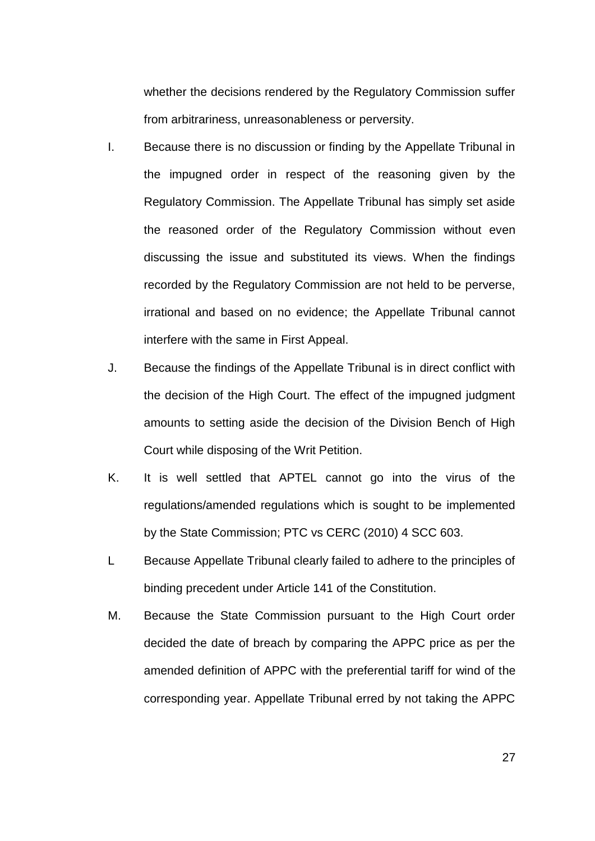whether the decisions rendered by the Regulatory Commission suffer from arbitrariness, unreasonableness or perversity.

- I. Because there is no discussion or finding by the Appellate Tribunal in the impugned order in respect of the reasoning given by the Regulatory Commission. The Appellate Tribunal has simply set aside the reasoned order of the Regulatory Commission without even discussing the issue and substituted its views. When the findings recorded by the Regulatory Commission are not held to be perverse, irrational and based on no evidence; the Appellate Tribunal cannot interfere with the same in First Appeal.
- J. Because the findings of the Appellate Tribunal is in direct conflict with the decision of the High Court. The effect of the impugned judgment amounts to setting aside the decision of the Division Bench of High Court while disposing of the Writ Petition.
- K. It is well settled that APTEL cannot go into the virus of the regulations/amended regulations which is sought to be implemented by the State Commission; PTC vs CERC (2010) 4 SCC 603.
- L Because Appellate Tribunal clearly failed to adhere to the principles of binding precedent under Article 141 of the Constitution.
- M. Because the State Commission pursuant to the High Court order decided the date of breach by comparing the APPC price as per the amended definition of APPC with the preferential tariff for wind of the corresponding year. Appellate Tribunal erred by not taking the APPC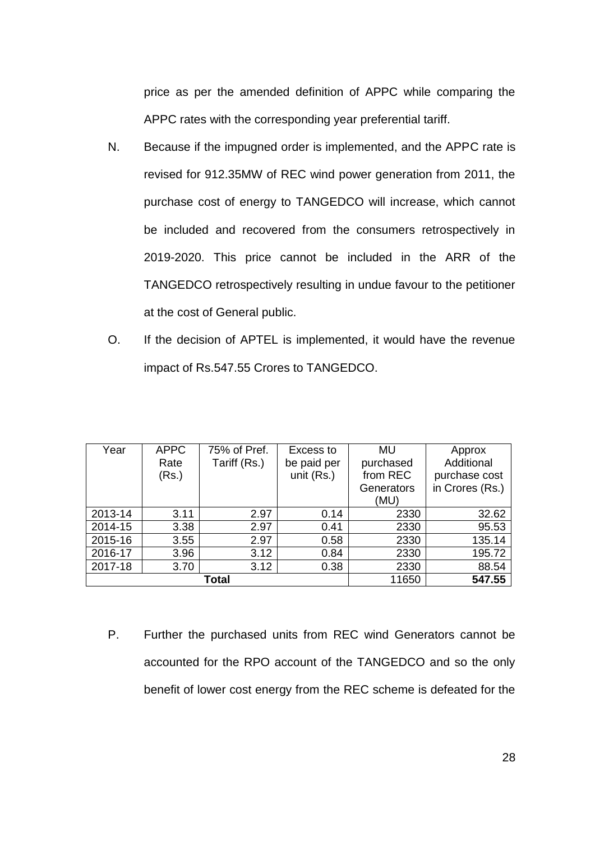price as per the amended definition of APPC while comparing the APPC rates with the corresponding year preferential tariff.

- N. Because if the impugned order is implemented, and the APPC rate is revised for 912.35MW of REC wind power generation from 2011, the purchase cost of energy to TANGEDCO will increase, which cannot be included and recovered from the consumers retrospectively in 2019-2020. This price cannot be included in the ARR of the TANGEDCO retrospectively resulting in undue favour to the petitioner at the cost of General public.
- O. If the decision of APTEL is implemented, it would have the revenue impact of Rs.547.55 Crores to TANGEDCO.

| Year    | <b>APPC</b><br>Rate<br>(Rs.) | 75% of Pref.<br>Tariff (Rs.) | Excess to<br>be paid per<br>unit (Rs.) | <b>MU</b><br>purchased<br>from REC | Approx<br>Additional<br>purchase cost |
|---------|------------------------------|------------------------------|----------------------------------------|------------------------------------|---------------------------------------|
|         |                              |                              |                                        | Generators                         | in Crores (Rs.)                       |
|         |                              |                              |                                        | (MU)                               |                                       |
| 2013-14 | 3.11                         | 2.97                         | 0.14                                   | 2330                               | 32.62                                 |
| 2014-15 | 3.38                         | 2.97                         | 0.41                                   | 2330                               | 95.53                                 |
| 2015-16 | 3.55                         | 2.97                         | 0.58                                   | 2330                               | 135.14                                |
| 2016-17 | 3.96                         | 3.12                         | 0.84                                   | 2330                               | 195.72                                |
| 2017-18 | 3.70                         | 3.12                         | 0.38                                   | 2330                               | 88.54                                 |
| Total   |                              |                              | 11650                                  | 547.55                             |                                       |

P. Further the purchased units from REC wind Generators cannot be accounted for the RPO account of the TANGEDCO and so the only benefit of lower cost energy from the REC scheme is defeated for the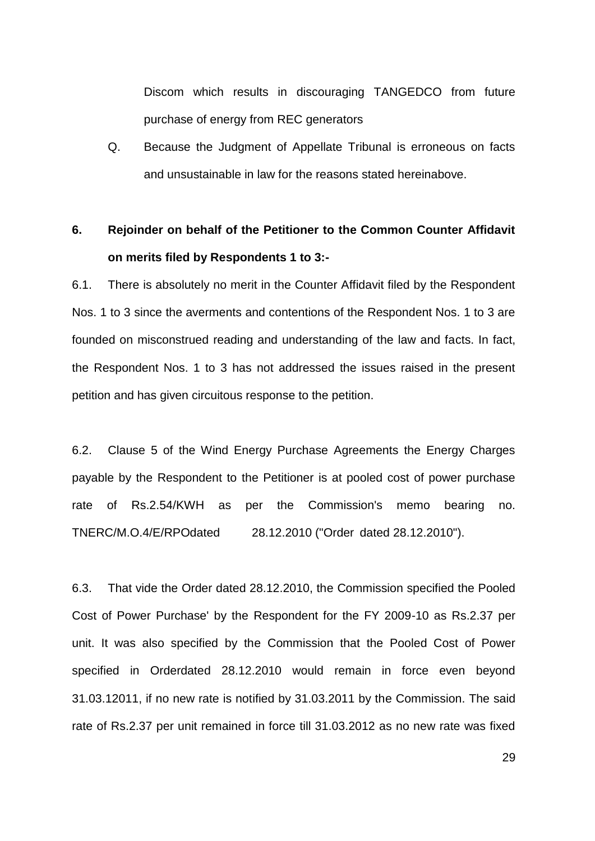Discom which results in discouraging TANGEDCO from future purchase of energy from REC generators

Q. Because the Judgment of Appellate Tribunal is erroneous on facts and unsustainable in law for the reasons stated hereinabove.

# **6. Rejoinder on behalf of the Petitioner to the Common Counter Affidavit on merits filed by Respondents 1 to 3:-**

6.1. There is absolutely no merit in the Counter Affidavit filed by the Respondent Nos. 1 to 3 since the averments and contentions of the Respondent Nos. 1 to 3 are founded on misconstrued reading and understanding of the law and facts. In fact, the Respondent Nos. 1 to 3 has not addressed the issues raised in the present petition and has given circuitous response to the petition.

6.2. Clause 5 of the Wind Energy Purchase Agreements the Energy Charges payable by the Respondent to the Petitioner is at pooled cost of power purchase rate of Rs.2.54/KWH as per the Commission's memo bearing no. TNERC/M.O.4/E/RPOdated 28.12.2010 ("Order dated 28.12.2010").

6.3. That vide the Order dated 28.12.2010, the Commission specified the Pooled Cost of Power Purchase' by the Respondent for the FY 2009-10 as Rs.2.37 per unit. It was also specified by the Commission that the Pooled Cost of Power specified in Orderdated 28.12.2010 would remain in force even beyond 31.03.12011, if no new rate is notified by 31.03.2011 by the Commission. The said rate of Rs.2.37 per unit remained in force till 31.03.2012 as no new rate was fixed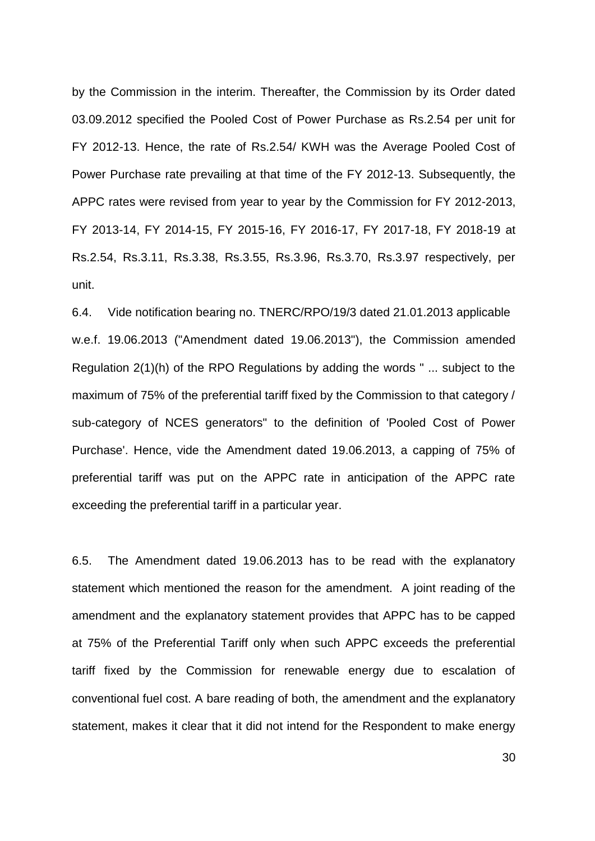by the Commission in the interim. Thereafter, the Commission by its Order dated 03.09.2012 specified the Pooled Cost of Power Purchase as Rs.2.54 per unit for FY 2012-13. Hence, the rate of Rs.2.54/ KWH was the Average Pooled Cost of Power Purchase rate prevailing at that time of the FY 2012-13. Subsequently, the APPC rates were revised from year to year by the Commission for FY 2012-2013, FY 2013-14, FY 2014-15, FY 2015-16, FY 2016-17, FY 2017-18, FY 2018-19 at Rs.2.54, Rs.3.11, Rs.3.38, Rs.3.55, Rs.3.96, Rs.3.70, Rs.3.97 respectively, per unit.

6.4. Vide notification bearing no. TNERC/RPO/19/3 dated 21.01.2013 applicable w.e.f. 19.06.2013 ("Amendment dated 19.06.2013"), the Commission amended Regulation 2(1)(h) of the RPO Regulations by adding the words " ... subject to the maximum of 75% of the preferential tariff fixed by the Commission to that category / sub-category of NCES generators" to the definition of 'Pooled Cost of Power Purchase'. Hence, vide the Amendment dated 19.06.2013, a capping of 75% of preferential tariff was put on the APPC rate in anticipation of the APPC rate exceeding the preferential tariff in a particular year.

6.5. The Amendment dated 19.06.2013 has to be read with the explanatory statement which mentioned the reason for the amendment. A joint reading of the amendment and the explanatory statement provides that APPC has to be capped at 75% of the Preferential Tariff only when such APPC exceeds the preferential tariff fixed by the Commission for renewable energy due to escalation of conventional fuel cost. A bare reading of both, the amendment and the explanatory statement, makes it clear that it did not intend for the Respondent to make energy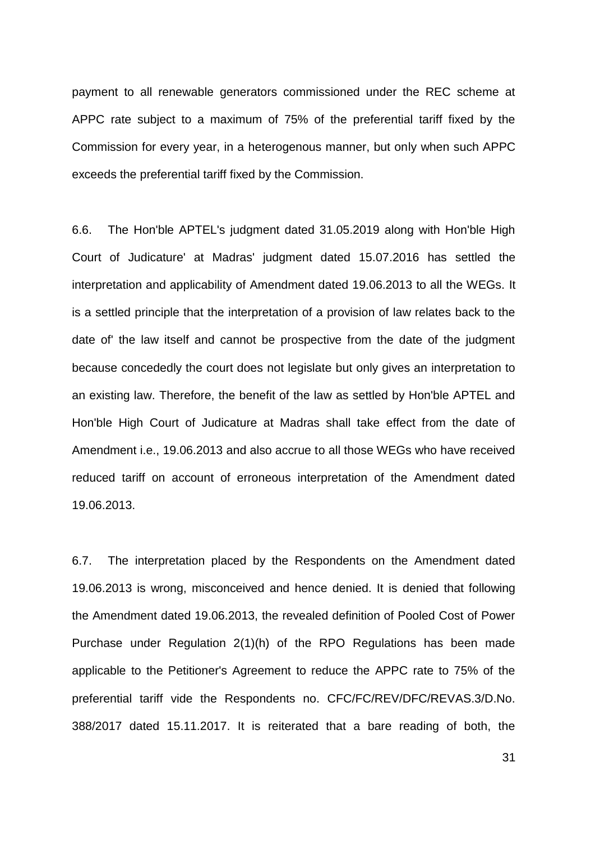payment to all renewable generators commissioned under the REC scheme at APPC rate subject to a maximum of 75% of the preferential tariff fixed by the Commission for every year, in a heterogenous manner, but only when such APPC exceeds the preferential tariff fixed by the Commission.

6.6. The Hon'ble APTEL's judgment dated 31.05.2019 along with Hon'ble High Court of Judicature' at Madras' judgment dated 15.07.2016 has settled the interpretation and applicability of Amendment dated 19.06.2013 to all the WEGs. It is a settled principle that the interpretation of a provision of law relates back to the date of' the law itself and cannot be prospective from the date of the judgment because concededly the court does not legislate but only gives an interpretation to an existing law. Therefore, the benefit of the law as settled by Hon'ble APTEL and Hon'ble High Court of Judicature at Madras shall take effect from the date of Amendment i.e., 19.06.2013 and also accrue to all those WEGs who have received reduced tariff on account of erroneous interpretation of the Amendment dated 19.06.2013.

6.7. The interpretation placed by the Respondents on the Amendment dated 19.06.2013 is wrong, misconceived and hence denied. It is denied that following the Amendment dated 19.06.2013, the revealed definition of Pooled Cost of Power Purchase under Regulation 2(1)(h) of the RPO Regulations has been made applicable to the Petitioner's Agreement to reduce the APPC rate to 75% of the preferential tariff vide the Respondents no. CFC/FC/REV/DFC/REVAS.3/D.No. 388/2017 dated 15.11.2017. It is reiterated that a bare reading of both, the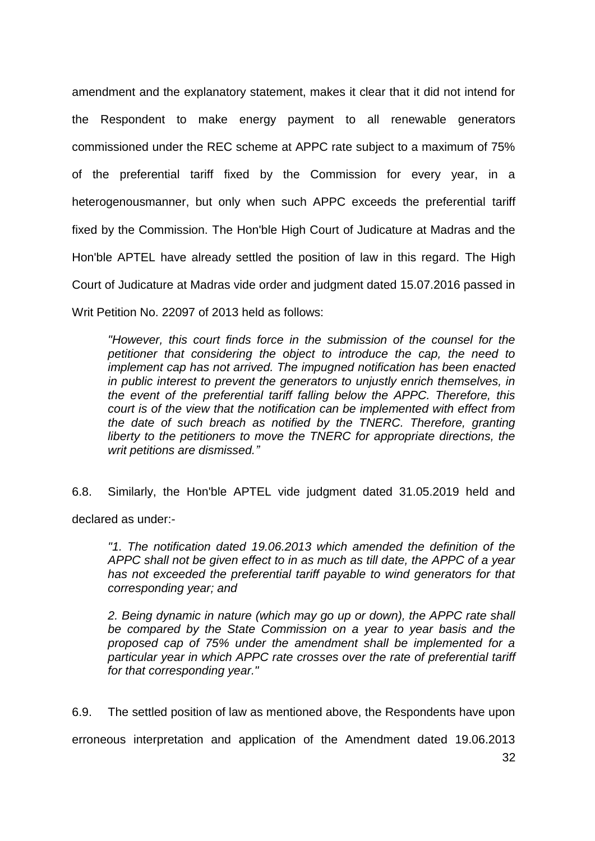amendment and the explanatory statement, makes it clear that it did not intend for the Respondent to make energy payment to all renewable generators commissioned under the REC scheme at APPC rate subject to a maximum of 75% of the preferential tariff fixed by the Commission for every year, in a heterogenousmanner, but only when such APPC exceeds the preferential tariff fixed by the Commission. The Hon'ble High Court of Judicature at Madras and the Hon'ble APTEL have already settled the position of law in this regard. The High Court of Judicature at Madras vide order and judgment dated 15.07.2016 passed in Writ Petition No. 22097 of 2013 held as follows:

*"However, this court finds force in the submission of the counsel for the petitioner that considering the object to introduce the cap, the need to implement cap has not arrived. The impugned notification has been enacted in public interest to prevent the generators to unjustly enrich themselves, in the event of the preferential tariff falling below the APPC. Therefore, this court is of the view that the notification can be implemented with effect from the date of such breach as notified by the TNERC. Therefore, granting liberty to the petitioners to move the TNERC for appropriate directions, the writ petitions are dismissed."*

6.8. Similarly, the Hon'ble APTEL vide judgment dated 31.05.2019 held and declared as under:-

*"1. The notification dated 19.06.2013 which amended the definition of the APPC shall not be given effect to in as much as till date, the APPC of a year has not exceeded the preferential tariff payable to wind generators for that corresponding year; and* 

*2. Being dynamic in nature (which may go up or down), the APPC rate shall be compared by the State Commission on a year to year basis and the proposed cap of 75% under the amendment shall be implemented for a particular year in which APPC rate crosses over the rate of preferential tariff for that corresponding year."* 

6.9. The settled position of law as mentioned above, the Respondents have upon

erroneous interpretation and application of the Amendment dated 19.06.2013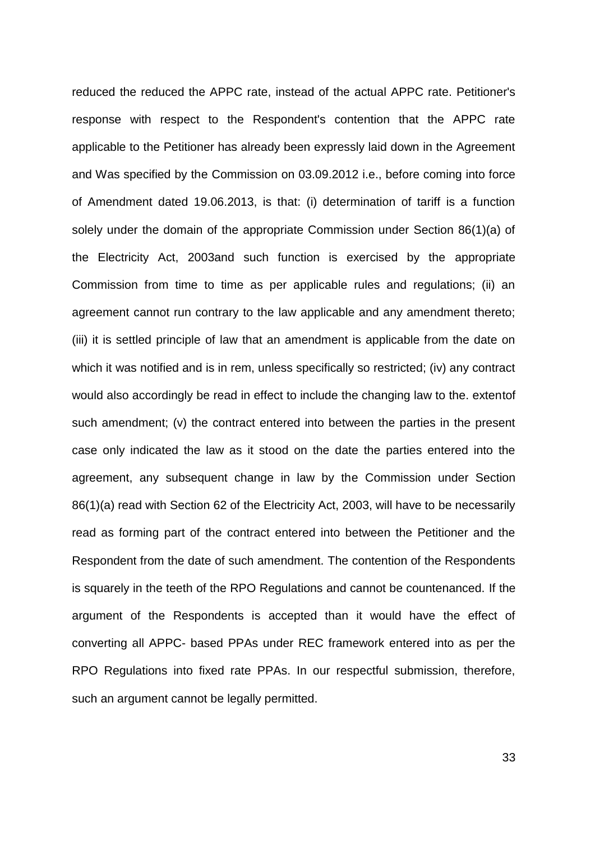reduced the reduced the APPC rate, instead of the actual APPC rate. Petitioner's response with respect to the Respondent's contention that the APPC rate applicable to the Petitioner has already been expressly laid down in the Agreement and Was specified by the Commission on 03.09.2012 i.e., before coming into force of Amendment dated 19.06.2013, is that: (i) determination of tariff is a function solely under the domain of the appropriate Commission under Section 86(1)(a) of the Electricity Act, 2003and such function is exercised by the appropriate Commission from time to time as per applicable rules and regulations; (ii) an agreement cannot run contrary to the law applicable and any amendment thereto; (iii) it is settled principle of law that an amendment is applicable from the date on which it was notified and is in rem, unless specifically so restricted; (iv) any contract would also accordingly be read in effect to include the changing law to the. extentof such amendment; (v) the contract entered into between the parties in the present case only indicated the law as it stood on the date the parties entered into the agreement, any subsequent change in law by the Commission under Section 86(1)(a) read with Section 62 of the Electricity Act, 2003, will have to be necessarily read as forming part of the contract entered into between the Petitioner and the Respondent from the date of such amendment. The contention of the Respondents is squarely in the teeth of the RPO Regulations and cannot be countenanced. If the argument of the Respondents is accepted than it would have the effect of converting all APPC- based PPAs under REC framework entered into as per the RPO Regulations into fixed rate PPAs. In our respectful submission, therefore, such an argument cannot be legally permitted.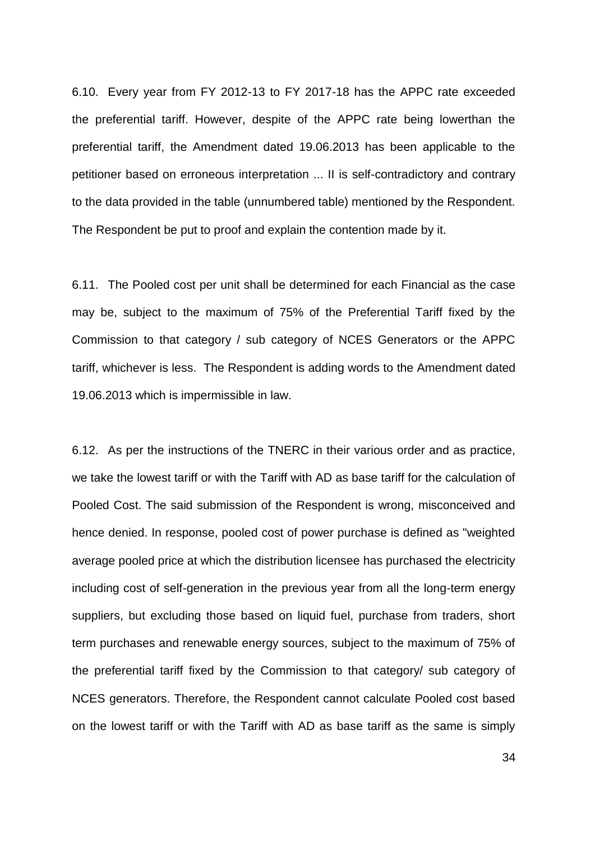6.10. Every year from FY 2012-13 to FY 2017-18 has the APPC rate exceeded the preferential tariff. However, despite of the APPC rate being lowerthan the preferential tariff, the Amendment dated 19.06.2013 has been applicable to the petitioner based on erroneous interpretation ... II is self-contradictory and contrary to the data provided in the table (unnumbered table) mentioned by the Respondent. The Respondent be put to proof and explain the contention made by it.

6.11. The Pooled cost per unit shall be determined for each Financial as the case may be, subject to the maximum of 75% of the Preferential Tariff fixed by the Commission to that category / sub category of NCES Generators or the APPC tariff, whichever is less. The Respondent is adding words to the Amendment dated 19.06.2013 which is impermissible in law.

6.12. As per the instructions of the TNERC in their various order and as practice, we take the lowest tariff or with the Tariff with AD as base tariff for the calculation of Pooled Cost. The said submission of the Respondent is wrong, misconceived and hence denied. In response, pooled cost of power purchase is defined as "weighted average pooled price at which the distribution licensee has purchased the electricity including cost of self-generation in the previous year from all the long-term energy suppliers, but excluding those based on liquid fuel, purchase from traders, short term purchases and renewable energy sources, subject to the maximum of 75% of the preferential tariff fixed by the Commission to that category/ sub category of NCES generators. Therefore, the Respondent cannot calculate Pooled cost based on the lowest tariff or with the Tariff with AD as base tariff as the same is simply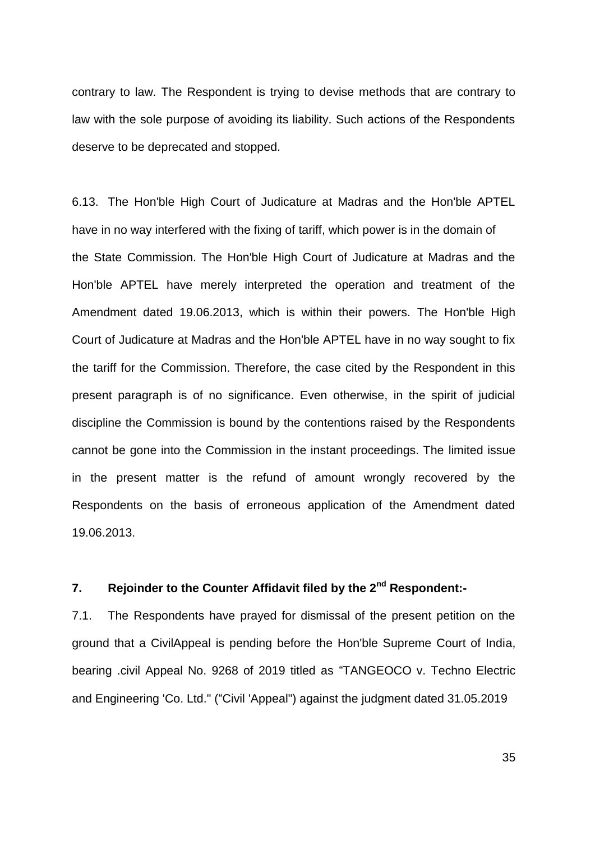contrary to law. The Respondent is trying to devise methods that are contrary to law with the sole purpose of avoiding its liability. Such actions of the Respondents deserve to be deprecated and stopped.

6.13. The Hon'ble High Court of Judicature at Madras and the Hon'ble APTEL have in no way interfered with the fixing of tariff, which power is in the domain of the State Commission. The Hon'ble High Court of Judicature at Madras and the Hon'ble APTEL have merely interpreted the operation and treatment of the Amendment dated 19.06.2013, which is within their powers. The Hon'ble High Court of Judicature at Madras and the Hon'ble APTEL have in no way sought to fix the tariff for the Commission. Therefore, the case cited by the Respondent in this present paragraph is of no significance. Even otherwise, in the spirit of judicial discipline the Commission is bound by the contentions raised by the Respondents cannot be gone into the Commission in the instant proceedings. The limited issue in the present matter is the refund of amount wrongly recovered by the Respondents on the basis of erroneous application of the Amendment dated 19.06.2013.

## **7. Rejoinder to the Counter Affidavit filed by the 2nd Respondent:-**

7.1. The Respondents have prayed for dismissal of the present petition on the ground that a CivilAppeal is pending before the Hon'ble Supreme Court of India, bearing .civil Appeal No. 9268 of 2019 titled as "TANGEOCO v. Techno Electric and Engineering 'Co. Ltd." ("Civil 'Appeal") against the judgment dated 31.05.2019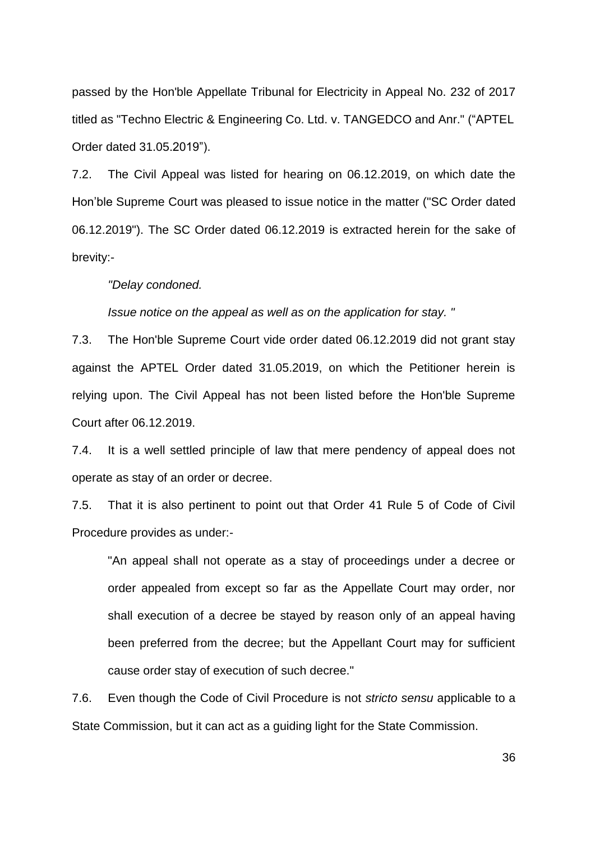passed by the Hon'ble Appellate Tribunal for Electricity in Appeal No. 232 of 2017 titled as "Techno Electric & Engineering Co. Ltd. v. TANGEDCO and Anr." ("APTEL Order dated 31.05.2019").

7.2. The Civil Appeal was listed for hearing on 06.12.2019, on which date the Hon"ble Supreme Court was pleased to issue notice in the matter ("SC Order dated 06.12.2019"). The SC Order dated 06.12.2019 is extracted herein for the sake of brevity:-

*"Delay condoned.* 

*Issue notice on the appeal as well as on the application for stay. "* 

7.3. The Hon'ble Supreme Court vide order dated 06.12.2019 did not grant stay against the APTEL Order dated 31.05.2019, on which the Petitioner herein is relying upon. The Civil Appeal has not been listed before the Hon'ble Supreme Court after 06.12.2019.

7.4. It is a well settled principle of law that mere pendency of appeal does not operate as stay of an order or decree.

7.5. That it is also pertinent to point out that Order 41 Rule 5 of Code of Civil Procedure provides as under:-

"An appeal shall not operate as a stay of proceedings under a decree or order appealed from except so far as the Appellate Court may order, nor shall execution of a decree be stayed by reason only of an appeal having been preferred from the decree; but the Appellant Court may for sufficient cause order stay of execution of such decree."

7.6. Even though the Code of Civil Procedure is not *stricto sensu* applicable to a State Commission, but it can act as a guiding light for the State Commission.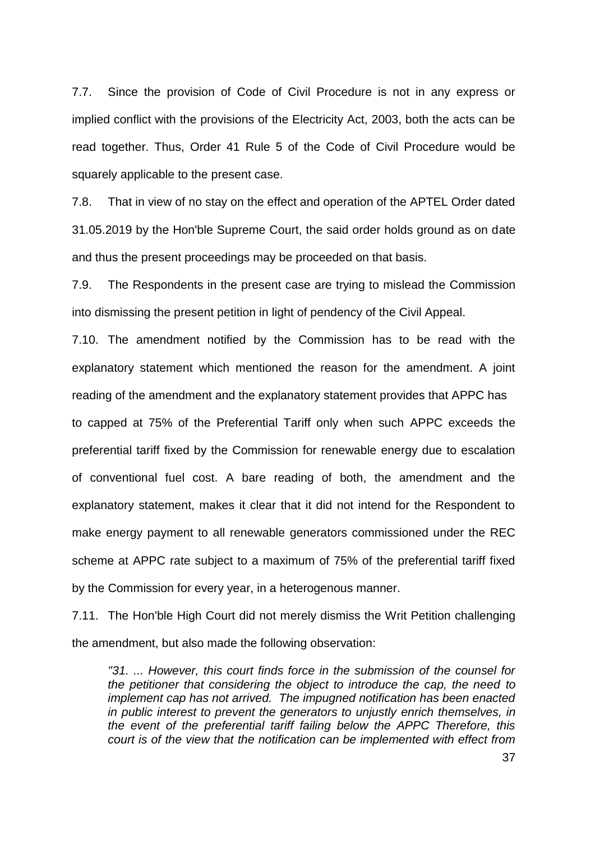7.7. Since the provision of Code of Civil Procedure is not in any express or implied conflict with the provisions of the Electricity Act, 2003, both the acts can be read together. Thus, Order 41 Rule 5 of the Code of Civil Procedure would be squarely applicable to the present case.

7.8. That in view of no stay on the effect and operation of the APTEL Order dated 31.05.2019 by the Hon'ble Supreme Court, the said order holds ground as on date and thus the present proceedings may be proceeded on that basis.

7.9. The Respondents in the present case are trying to mislead the Commission into dismissing the present petition in light of pendency of the Civil Appeal.

7.10. The amendment notified by the Commission has to be read with the explanatory statement which mentioned the reason for the amendment. A joint reading of the amendment and the explanatory statement provides that APPC has to capped at 75% of the Preferential Tariff only when such APPC exceeds the preferential tariff fixed by the Commission for renewable energy due to escalation of conventional fuel cost. A bare reading of both, the amendment and the explanatory statement, makes it clear that it did not intend for the Respondent to make energy payment to all renewable generators commissioned under the REC scheme at APPC rate subject to a maximum of 75% of the preferential tariff fixed by the Commission for every year, in a heterogenous manner.

7.11. The Hon'ble High Court did not merely dismiss the Writ Petition challenging the amendment, but also made the following observation:

*"31. ... However, this court finds force in the submission of the counsel for the petitioner that considering the object to introduce the cap, the need to implement cap has not arrived. The impugned notification has been enacted in public interest to prevent the generators to unjustly enrich themselves, in the event of the preferential tariff failing below the APPC Therefore, this court is of the view that the notification can be implemented with effect from*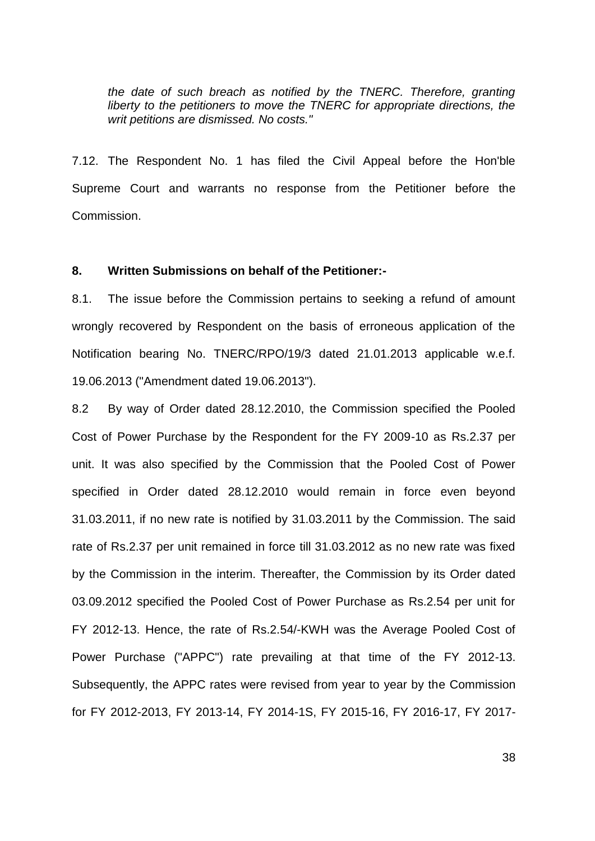*the date of such breach as notified by the TNERC. Therefore, granting liberty to the petitioners to move the TNERC for appropriate directions, the writ petitions are dismissed. No costs."* 

7.12. The Respondent No. 1 has filed the Civil Appeal before the Hon'ble Supreme Court and warrants no response from the Petitioner before the Commission.

#### **8. Written Submissions on behalf of the Petitioner:-**

8.1. The issue before the Commission pertains to seeking a refund of amount wrongly recovered by Respondent on the basis of erroneous application of the Notification bearing No. TNERC/RPO/19/3 dated 21.01.2013 applicable w.e.f. 19.06.2013 ("Amendment dated 19.06.2013").

8.2 By way of Order dated 28.12.2010, the Commission specified the Pooled Cost of Power Purchase by the Respondent for the FY 2009-10 as Rs.2.37 per unit. It was also specified by the Commission that the Pooled Cost of Power specified in Order dated 28.12.2010 would remain in force even beyond 31.03.2011, if no new rate is notified by 31.03.2011 by the Commission. The said rate of Rs.2.37 per unit remained in force till 31.03.2012 as no new rate was fixed by the Commission in the interim. Thereafter, the Commission by its Order dated 03.09.2012 specified the Pooled Cost of Power Purchase as Rs.2.54 per unit for FY 2012-13. Hence, the rate of Rs.2.54/-KWH was the Average Pooled Cost of Power Purchase ("APPC") rate prevailing at that time of the FY 2012-13. Subsequently, the APPC rates were revised from year to year by the Commission for FY 2012-2013, FY 2013-14, FY 2014-1S, FY 2015-16, FY 2016-17, FY 2017-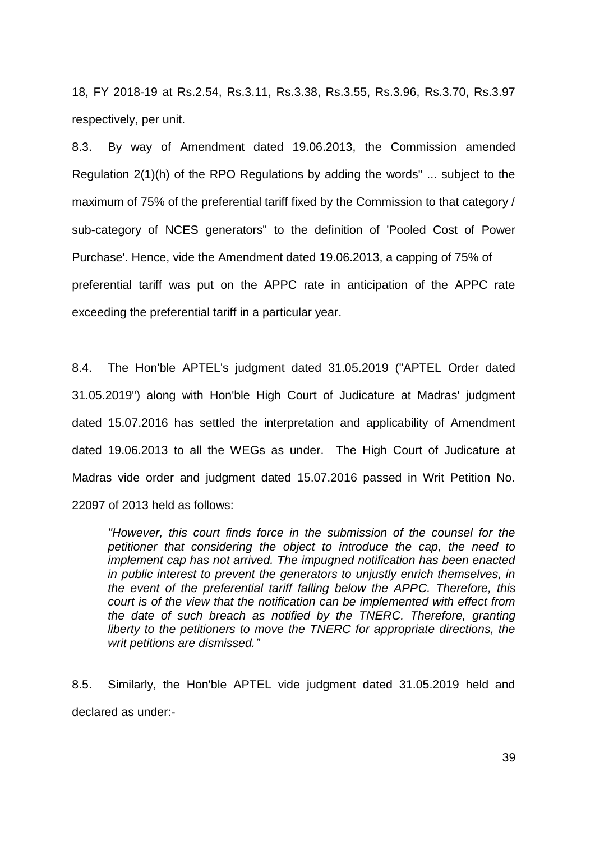18, FY 2018-19 at Rs.2.54, Rs.3.11, Rs.3.38, Rs.3.55, Rs.3.96, Rs.3.70, Rs.3.97 respectively, per unit.

8.3. By way of Amendment dated 19.06.2013, the Commission amended Regulation 2(1)(h) of the RPO Regulations by adding the words" ... subject to the maximum of 75% of the preferential tariff fixed by the Commission to that category / sub-category of NCES generators" to the definition of 'Pooled Cost of Power Purchase'. Hence, vide the Amendment dated 19.06.2013, a capping of 75% of preferential tariff was put on the APPC rate in anticipation of the APPC rate exceeding the preferential tariff in a particular year.

8.4. The Hon'ble APTEL's judgment dated 31.05.2019 ("APTEL Order dated 31.05.2019") along with Hon'ble High Court of Judicature at Madras' judgment dated 15.07.2016 has settled the interpretation and applicability of Amendment dated 19.06.2013 to all the WEGs as under. The High Court of Judicature at Madras vide order and judgment dated 15.07.2016 passed in Writ Petition No. 22097 of 2013 held as follows:

*"However, this court finds force in the submission of the counsel for the petitioner that considering the object to introduce the cap, the need to implement cap has not arrived. The impugned notification has been enacted in public interest to prevent the generators to unjustly enrich themselves, in the event of the preferential tariff falling below the APPC. Therefore, this court is of the view that the notification can be implemented with effect from the date of such breach as notified by the TNERC. Therefore, granting liberty to the petitioners to move the TNERC for appropriate directions, the writ petitions are dismissed."*

8.5. Similarly, the Hon'ble APTEL vide judgment dated 31.05.2019 held and declared as under:-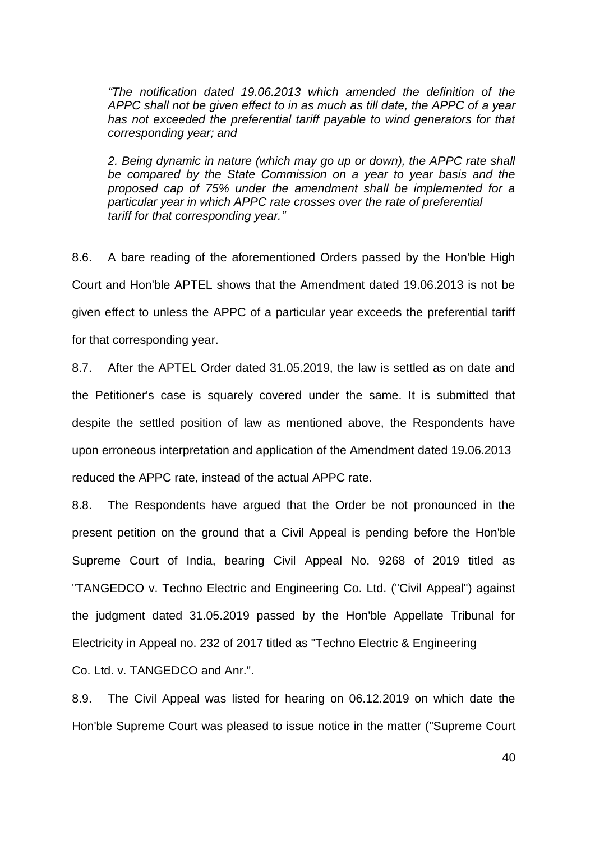*"The notification dated 19.06.2013 which amended the definition of the APPC shall not be given effect to in as much as till date, the APPC of a year has not exceeded the preferential tariff payable to wind generators for that corresponding year; and* 

*2. Being dynamic in nature (which may go up or down), the APPC rate shall be compared by the State Commission on a year to year basis and the proposed cap of 75% under the amendment shall be implemented for a particular year in which APPC rate crosses over the rate of preferential tariff for that corresponding year."*

8.6. A bare reading of the aforementioned Orders passed by the Hon'ble High Court and Hon'ble APTEL shows that the Amendment dated 19.06.2013 is not be given effect to unless the APPC of a particular year exceeds the preferential tariff for that corresponding year.

8.7. After the APTEL Order dated 31.05.2019, the law is settled as on date and the Petitioner's case is squarely covered under the same. It is submitted that despite the settled position of law as mentioned above, the Respondents have upon erroneous interpretation and application of the Amendment dated 19.06.2013 reduced the APPC rate, instead of the actual APPC rate.

8.8. The Respondents have argued that the Order be not pronounced in the present petition on the ground that a Civil Appeal is pending before the Hon'ble Supreme Court of India, bearing Civil Appeal No. 9268 of 2019 titled as "TANGEDCO v. Techno Electric and Engineering Co. Ltd. ("Civil Appeal") against the judgment dated 31.05.2019 passed by the Hon'ble Appellate Tribunal for Electricity in Appeal no. 232 of 2017 titled as "Techno Electric & Engineering Co. Ltd. v. TANGEDCO and Anr.".

8.9. The Civil Appeal was listed for hearing on 06.12.2019 on which date the Hon'ble Supreme Court was pleased to issue notice in the matter ("Supreme Court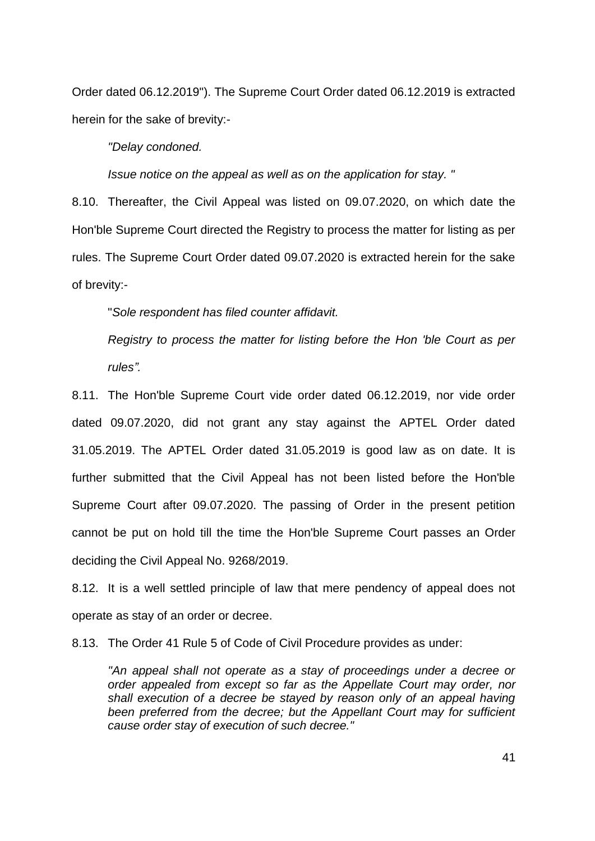Order dated 06.12.2019"). The Supreme Court Order dated 06.12.2019 is extracted herein for the sake of brevity:-

*"Delay condoned.* 

*Issue notice on the appeal as well as on the application for stay. "* 

8.10. Thereafter, the Civil Appeal was listed on 09.07.2020, on which date the Hon'ble Supreme Court directed the Registry to process the matter for listing as per rules. The Supreme Court Order dated 09.07.2020 is extracted herein for the sake of brevity:-

"*Sole respondent has filed counter affidavit.* 

*Registry to process the matter for listing before the Hon 'ble Court as per rules".* 

8.11. The Hon'ble Supreme Court vide order dated 06.12.2019, nor vide order dated 09.07.2020, did not grant any stay against the APTEL Order dated 31.05.2019. The APTEL Order dated 31.05.2019 is good law as on date. It is further submitted that the Civil Appeal has not been listed before the Hon'ble Supreme Court after 09.07.2020. The passing of Order in the present petition cannot be put on hold till the time the Hon'ble Supreme Court passes an Order deciding the Civil Appeal No. 9268/2019.

8.12. It is a well settled principle of law that mere pendency of appeal does not operate as stay of an order or decree.

8.13. The Order 41 Rule 5 of Code of Civil Procedure provides as under:

*"An appeal shall not operate as a stay of proceedings under a decree or order appealed from except so far as the Appellate Court may order, nor shall execution of a decree be stayed by reason only of an appeal having been preferred from the decree; but the Appellant Court may for sufficient cause order stay of execution of such decree."*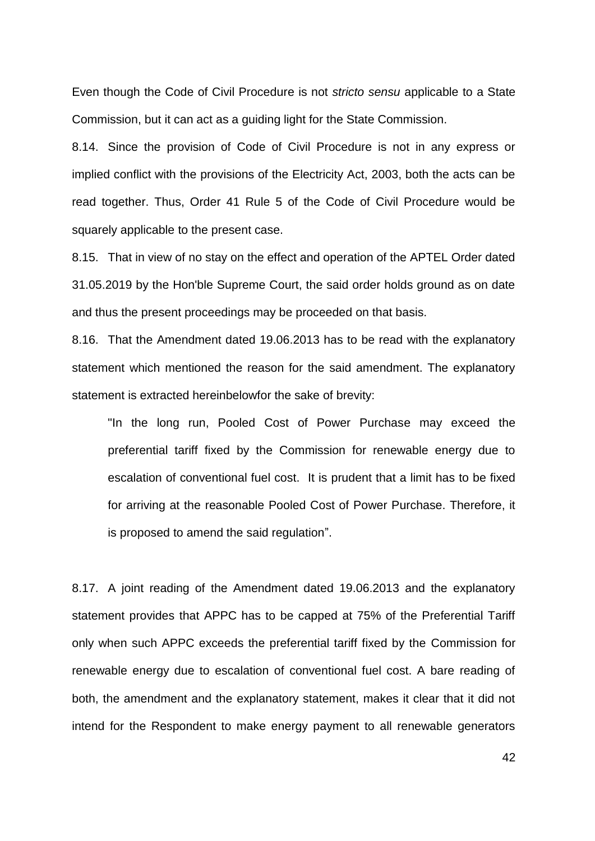Even though the Code of Civil Procedure is not *stricto sensu* applicable to a State Commission, but it can act as a guiding light for the State Commission.

8.14. Since the provision of Code of Civil Procedure is not in any express or implied conflict with the provisions of the Electricity Act, 2003, both the acts can be read together. Thus, Order 41 Rule 5 of the Code of Civil Procedure would be squarely applicable to the present case.

8.15. That in view of no stay on the effect and operation of the APTEL Order dated 31.05.2019 by the Hon'ble Supreme Court, the said order holds ground as on date and thus the present proceedings may be proceeded on that basis.

8.16. That the Amendment dated 19.06.2013 has to be read with the explanatory statement which mentioned the reason for the said amendment. The explanatory statement is extracted hereinbelowfor the sake of brevity:

"In the long run, Pooled Cost of Power Purchase may exceed the preferential tariff fixed by the Commission for renewable energy due to escalation of conventional fuel cost. It is prudent that a limit has to be fixed for arriving at the reasonable Pooled Cost of Power Purchase. Therefore, it is proposed to amend the said regulation".

8.17. A joint reading of the Amendment dated 19.06.2013 and the explanatory statement provides that APPC has to be capped at 75% of the Preferential Tariff only when such APPC exceeds the preferential tariff fixed by the Commission for renewable energy due to escalation of conventional fuel cost. A bare reading of both, the amendment and the explanatory statement, makes it clear that it did not intend for the Respondent to make energy payment to all renewable generators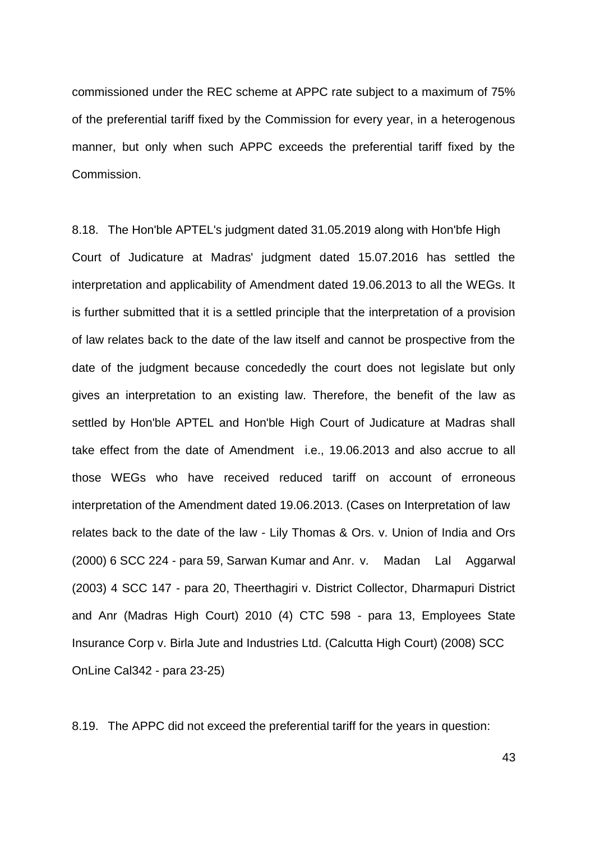commissioned under the REC scheme at APPC rate subject to a maximum of 75% of the preferential tariff fixed by the Commission for every year, in a heterogenous manner, but only when such APPC exceeds the preferential tariff fixed by the Commission.

8.18. The Hon'ble APTEL's judgment dated 31.05.2019 along with Hon'bfe High Court of Judicature at Madras' judgment dated 15.07.2016 has settled the interpretation and applicability of Amendment dated 19.06.2013 to all the WEGs. It is further submitted that it is a settled principle that the interpretation of a provision of law relates back to the date of the law itself and cannot be prospective from the date of the judgment because concededly the court does not legislate but only gives an interpretation to an existing law. Therefore, the benefit of the law as settled by Hon'ble APTEL and Hon'ble High Court of Judicature at Madras shall take effect from the date of Amendment i.e., 19.06.2013 and also accrue to all those WEGs who have received reduced tariff on account of erroneous interpretation of the Amendment dated 19.06.2013. (Cases on Interpretation of law relates back to the date of the law - Lily Thomas & Ors. v. Union of India and Ors (2000) 6 SCC 224 - para 59, Sarwan Kumar and Anr. v. Madan Lal Aggarwal (2003) 4 SCC 147 - para 20, Theerthagiri v. District Collector, Dharmapuri District and Anr (Madras High Court) 2010 (4) CTC 598 - para 13, Employees State Insurance Corp v. Birla Jute and Industries Ltd. (Calcutta High Court) (2008) SCC OnLine Cal342 - para 23-25)

8.19. The APPC did not exceed the preferential tariff for the years in question: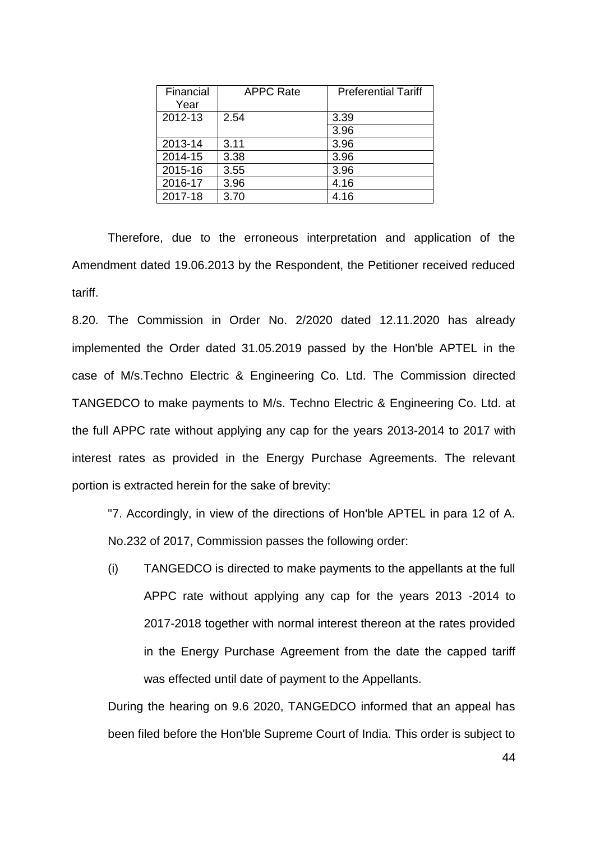| Financial<br>Year | <b>APPC Rate</b> | <b>Preferential Tariff</b> |
|-------------------|------------------|----------------------------|
| 2012-13           | 2.54             | 3.39                       |
|                   |                  | 3.96                       |
| 2013-14           | 3.11             | 3.96                       |
| 2014-15           | 3.38             | 3.96                       |
| 2015-16           | 3.55             | 3.96                       |
| 2016-17           | 3.96             | 4.16                       |
| 2017-18           | 3.70             | 4.16                       |

Therefore, due to the erroneous interpretation and application of the Amendment dated 19.06.2013 by the Respondent, the Petitioner received reduced tariff.

8.20. The Commission in Order No. 2/2020 dated 12.11.2020 has already implemented the Order dated 31.05.2019 passed by the Hon'ble APTEL in the case of M/s.Techno Electric & Engineering Co. Ltd. The Commission directed TANGEDCO to make payments to M/s. Techno Electric & Engineering Co. Ltd. at the full APPC rate without applying any cap for the years 2013-2014 to 2017 with interest rates as provided in the Energy Purchase Agreements. The relevant portion is extracted herein for the sake of brevity:

"7. Accordingly, in view of the directions of Hon'ble APTEL in para 12 of A. No.232 of 2017, Commission passes the following order:

(i) TANGEDCO is directed to make payments to the appellants at the full APPC rate without applying any cap for the years 2013 -2014 to 2017-2018 together with normal interest thereon at the rates provided in the Energy Purchase Agreement from the date the capped tariff was effected until date of payment to the Appellants.

During the hearing on 9.6 2020, TANGEDCO informed that an appeal has been filed before the Hon'ble Supreme Court of India. This order is subject to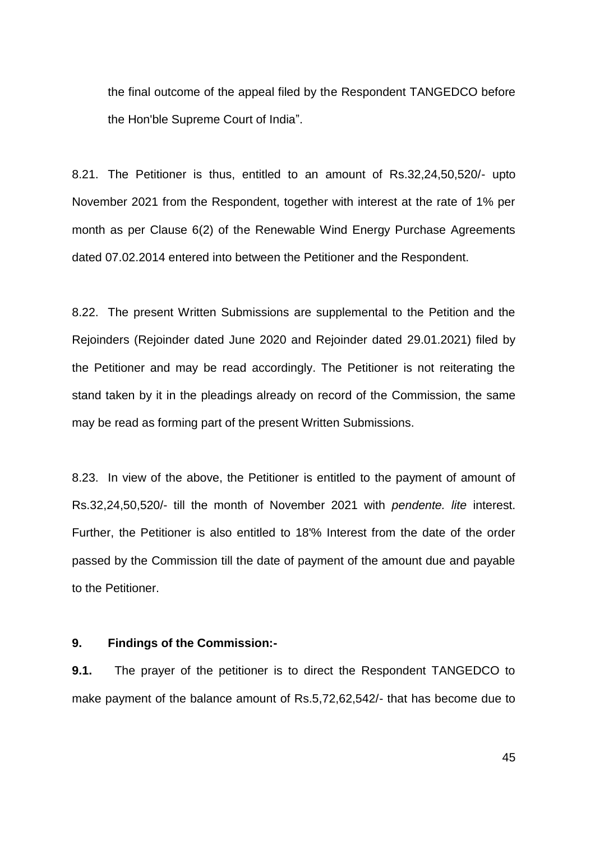the final outcome of the appeal filed by the Respondent TANGEDCO before the Hon'ble Supreme Court of India".

8.21. The Petitioner is thus, entitled to an amount of Rs.32,24,50,520/- upto November 2021 from the Respondent, together with interest at the rate of 1% per month as per Clause 6(2) of the Renewable Wind Energy Purchase Agreements dated 07.02.2014 entered into between the Petitioner and the Respondent.

8.22. The present Written Submissions are supplemental to the Petition and the Rejoinders (Rejoinder dated June 2020 and Rejoinder dated 29.01.2021) filed by the Petitioner and may be read accordingly. The Petitioner is not reiterating the stand taken by it in the pleadings already on record of the Commission, the same may be read as forming part of the present Written Submissions.

8.23. In view of the above, the Petitioner is entitled to the payment of amount of Rs.32,24,50,520/- till the month of November 2021 with *pendente. lite* interest. Further, the Petitioner is also entitled to 18'% Interest from the date of the order passed by the Commission till the date of payment of the amount due and payable to the Petitioner.

#### **9. Findings of the Commission:-**

**9.1.** The prayer of the petitioner is to direct the Respondent TANGEDCO to make payment of the balance amount of Rs.5,72,62,542/- that has become due to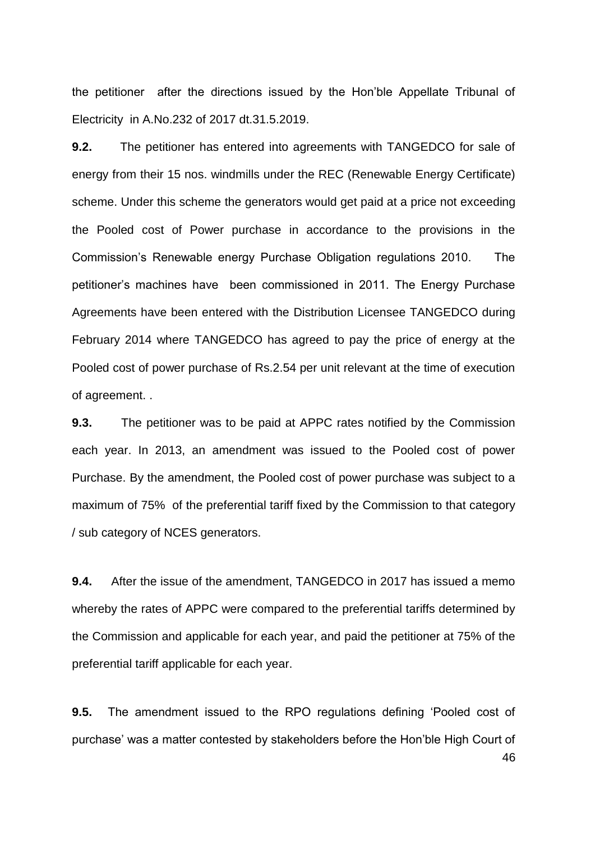the petitioner after the directions issued by the Hon"ble Appellate Tribunal of Electricity in A.No.232 of 2017 dt.31.5.2019.

**9.2.** The petitioner has entered into agreements with TANGEDCO for sale of energy from their 15 nos. windmills under the REC (Renewable Energy Certificate) scheme. Under this scheme the generators would get paid at a price not exceeding the Pooled cost of Power purchase in accordance to the provisions in the Commission"s Renewable energy Purchase Obligation regulations 2010. The petitioner"s machines have been commissioned in 2011. The Energy Purchase Agreements have been entered with the Distribution Licensee TANGEDCO during February 2014 where TANGEDCO has agreed to pay the price of energy at the Pooled cost of power purchase of Rs.2.54 per unit relevant at the time of execution of agreement. .

**9.3.** The petitioner was to be paid at APPC rates notified by the Commission each year. In 2013, an amendment was issued to the Pooled cost of power Purchase. By the amendment, the Pooled cost of power purchase was subject to a maximum of 75% of the preferential tariff fixed by the Commission to that category / sub category of NCES generators.

**9.4.** After the issue of the amendment, TANGEDCO in 2017 has issued a memo whereby the rates of APPC were compared to the preferential tariffs determined by the Commission and applicable for each year, and paid the petitioner at 75% of the preferential tariff applicable for each year.

46 **9.5.** The amendment issued to the RPO regulations defining "Pooled cost of purchase" was a matter contested by stakeholders before the Hon"ble High Court of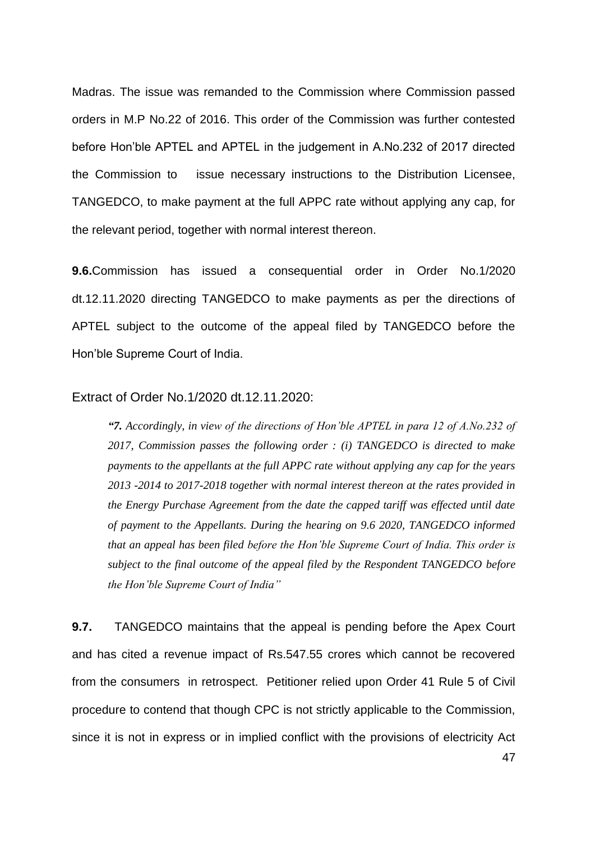Madras. The issue was remanded to the Commission where Commission passed orders in M.P No.22 of 2016. This order of the Commission was further contested before Hon"ble APTEL and APTEL in the judgement in A.No.232 of 2017 directed the Commission to issue necessary instructions to the Distribution Licensee, TANGEDCO, to make payment at the full APPC rate without applying any cap, for the relevant period, together with normal interest thereon.

**9.6.**Commission has issued a consequential order in Order No.1/2020 dt.12.11.2020 directing TANGEDCO to make payments as per the directions of APTEL subject to the outcome of the appeal filed by TANGEDCO before the Hon"ble Supreme Court of India.

#### Extract of Order No.1/2020 dt.12.11.2020:

*"7. Accordingly, in view of the directions of Hon'ble APTEL in para 12 of A.No.232 of 2017, Commission passes the following order : (i) TANGEDCO is directed to make payments to the appellants at the full APPC rate without applying any cap for the years 2013 -2014 to 2017-2018 together with normal interest thereon at the rates provided in the Energy Purchase Agreement from the date the capped tariff was effected until date of payment to the Appellants. During the hearing on 9.6 2020, TANGEDCO informed that an appeal has been filed before the Hon'ble Supreme Court of India. This order is subject to the final outcome of the appeal filed by the Respondent TANGEDCO before the Hon'ble Supreme Court of India"*

**9.7.** TANGEDCO maintains that the appeal is pending before the Apex Court and has cited a revenue impact of Rs.547.55 crores which cannot be recovered from the consumers in retrospect. Petitioner relied upon Order 41 Rule 5 of Civil procedure to contend that though CPC is not strictly applicable to the Commission, since it is not in express or in implied conflict with the provisions of electricity Act